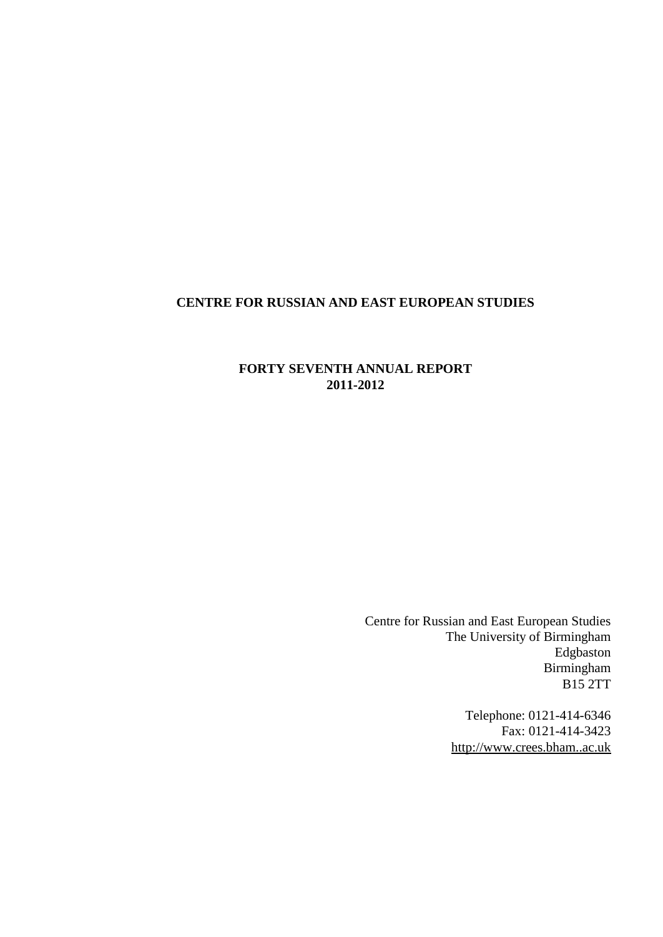# <span id="page-0-0"></span>**CENTRE FOR RUSSIAN AND EAST EUROPEAN STUDIES**

# **FORTY SEVENTH ANNUAL REPORT 2011-2012**

Centre for Russian and East European Studies The University of Birmingham Edgbaston Birmingham B15 2TT

> Telephone: 0121-414-6346 Fax: 0121-414-3423 [http://www.crees.bham..ac.uk](http://www.crees.bham..ac.uk/)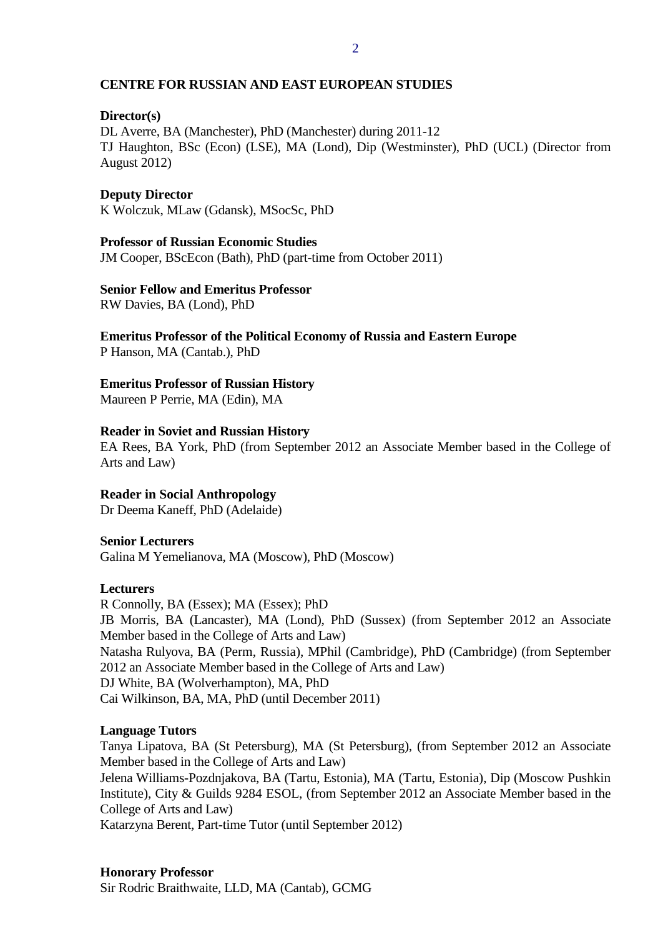## **CENTRE FOR RUSSIAN AND EAST EUROPEAN STUDIES**

# **Director(s)**

DL Averre, BA (Manchester), PhD (Manchester) during 2011-12 TJ Haughton, BSc (Econ) (LSE), MA (Lond), Dip (Westminster), PhD (UCL) (Director from August 2012)

#### **Deputy Director**

K Wolczuk, MLaw (Gdansk), MSocSc, PhD

#### **Professor of Russian Economic Studies**

JM Cooper, BScEcon (Bath), PhD (part-time from October 2011)

#### **Senior Fellow and Emeritus Professor**

RW Davies, BA (Lond), PhD

**Emeritus Professor of the Political Economy of Russia and Eastern Europe** P Hanson, MA (Cantab.), PhD

# **Emeritus Professor of Russian History**

Maureen P Perrie, MA (Edin), MA

#### **Reader in Soviet and Russian History**

EA Rees, BA York, PhD (from September 2012 an Associate Member based in the College of Arts and Law)

## **Reader in Social Anthropology**

Dr Deema Kaneff, PhD (Adelaide)

#### **Senior Lecturers**

Galina M Yemelianova, MA (Moscow), PhD (Moscow)

#### **Lecturers**

R Connolly, BA (Essex); MA (Essex); PhD JB Morris, BA (Lancaster), MA (Lond), PhD (Sussex) (from September 2012 an Associate Member based in the College of Arts and Law) Natasha Rulyova, BA (Perm, Russia), MPhil (Cambridge), PhD (Cambridge) (from September 2012 an Associate Member based in the College of Arts and Law) DJ White, BA (Wolverhampton), MA, PhD Cai Wilkinson, BA, MA, PhD (until December 2011)

#### **Language Tutors**

Tanya Lipatova, BA (St Petersburg), MA (St Petersburg), (from September 2012 an Associate Member based in the College of Arts and Law) Jelena Williams-Pozdnjakova, BA (Tartu, Estonia), MA (Tartu, Estonia), Dip (Moscow Pushkin Institute), City & Guilds 9284 ESOL, (from September 2012 an Associate Member based in the College of Arts and Law) Katarzyna Berent, Part-time Tutor (until September 2012)

## **Honorary Professor**

Sir Rodric Braithwaite, LLD, MA (Cantab), GCMG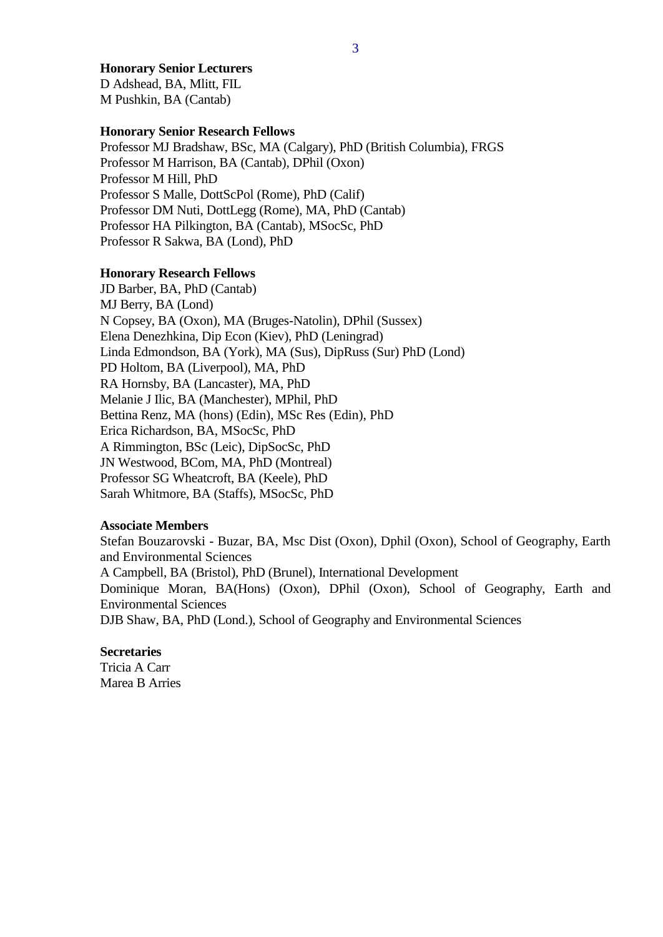#### **Honorary Senior Lecturers**

D Adshead, BA, Mlitt, FIL M Pushkin, BA (Cantab)

#### **Honorary Senior Research Fellows**

Professor MJ Bradshaw, BSc, MA (Calgary), PhD (British Columbia), FRGS Professor M Harrison, BA (Cantab), DPhil (Oxon) Professor M Hill, PhD Professor S Malle, DottScPol (Rome), PhD (Calif) Professor DM Nuti, DottLegg (Rome), MA, PhD (Cantab) Professor HA Pilkington, BA (Cantab), MSocSc, PhD Professor R Sakwa, BA (Lond), PhD

#### **Honorary Research Fellows**

JD Barber, BA, PhD (Cantab) MJ Berry, BA (Lond) N Copsey, BA (Oxon), MA (Bruges-Natolin), DPhil (Sussex) Elena Denezhkina, Dip Econ (Kiev), PhD (Leningrad) Linda Edmondson, BA (York), MA (Sus), DipRuss (Sur) PhD (Lond) PD Holtom, BA (Liverpool), MA, PhD RA Hornsby, BA (Lancaster), MA, PhD Melanie J Ilic, BA (Manchester), MPhil, PhD Bettina Renz, MA (hons) (Edin), MSc Res (Edin), PhD Erica Richardson, BA, MSocSc, PhD A Rimmington, BSc (Leic), DipSocSc, PhD JN Westwood, BCom, MA, PhD (Montreal) Professor SG Wheatcroft, BA (Keele), PhD Sarah Whitmore, BA (Staffs), MSocSc, PhD

## **Associate Members**

Stefan Bouzarovski - Buzar, BA, Msc Dist (Oxon), Dphil (Oxon), School of Geography, Earth and Environmental Sciences A Campbell, BA (Bristol), PhD (Brunel), International Development Dominique Moran, BA(Hons) (Oxon), DPhil (Oxon), School of Geography, Earth and

Environmental Sciences

DJB Shaw, BA, PhD (Lond.), School of Geography and Environmental Sciences

#### **Secretaries**

Tricia A Carr Marea B Arries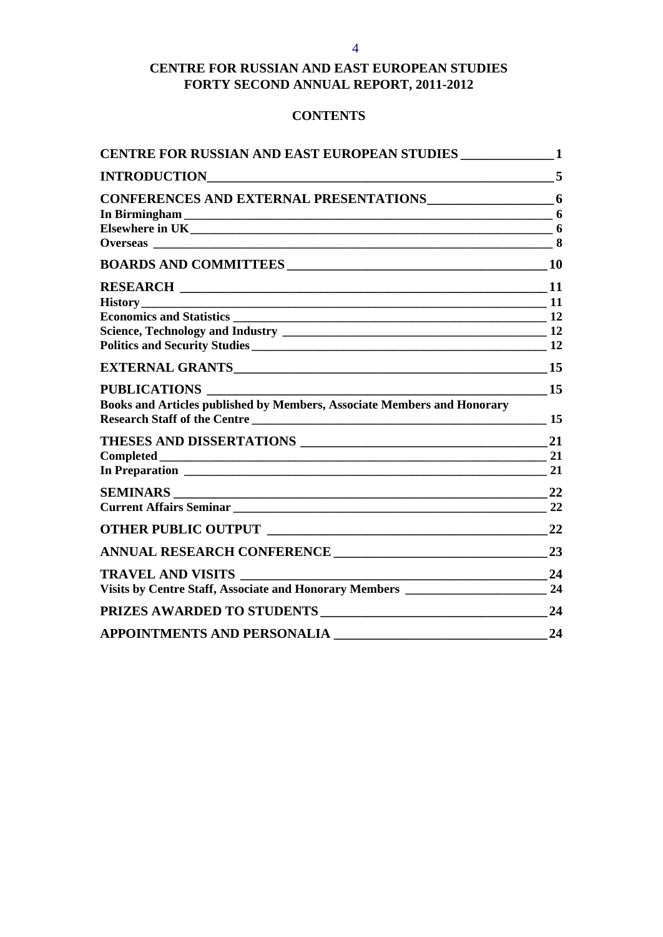# **CENTRE FOR RUSSIAN AND EAST EUROPEAN STUDIES FORTY SECOND ANNUAL REPORT, 2011-2012**

# **CONTENTS**

| <b>INTRODUCTION</b>                                                                                                   | 5         |
|-----------------------------------------------------------------------------------------------------------------------|-----------|
|                                                                                                                       |           |
|                                                                                                                       | 6         |
|                                                                                                                       |           |
|                                                                                                                       |           |
|                                                                                                                       | <b>10</b> |
|                                                                                                                       | <b>11</b> |
|                                                                                                                       |           |
|                                                                                                                       |           |
|                                                                                                                       |           |
|                                                                                                                       | 12        |
|                                                                                                                       | 15        |
| <b>PUBLICATIONS</b>                                                                                                   | 15        |
| <b>Books and Articles published by Members, Associate Members and Honorary</b><br><b>Research Staff of the Centre</b> | 15        |
|                                                                                                                       | 21        |
|                                                                                                                       |           |
|                                                                                                                       | 21        |
|                                                                                                                       | 22        |
|                                                                                                                       | - 22      |
|                                                                                                                       | 22        |
|                                                                                                                       | 23        |
| <b>TRAVEL AND VISITS</b>                                                                                              | 24        |
| Visits by Centre Staff, Associate and Honorary Members _________________________                                      | 24        |
| PRIZES AWARDED TO STUDENTS                                                                                            | 24        |
| <b>APPOINTMENTS AND PERSONALIA</b>                                                                                    | 24        |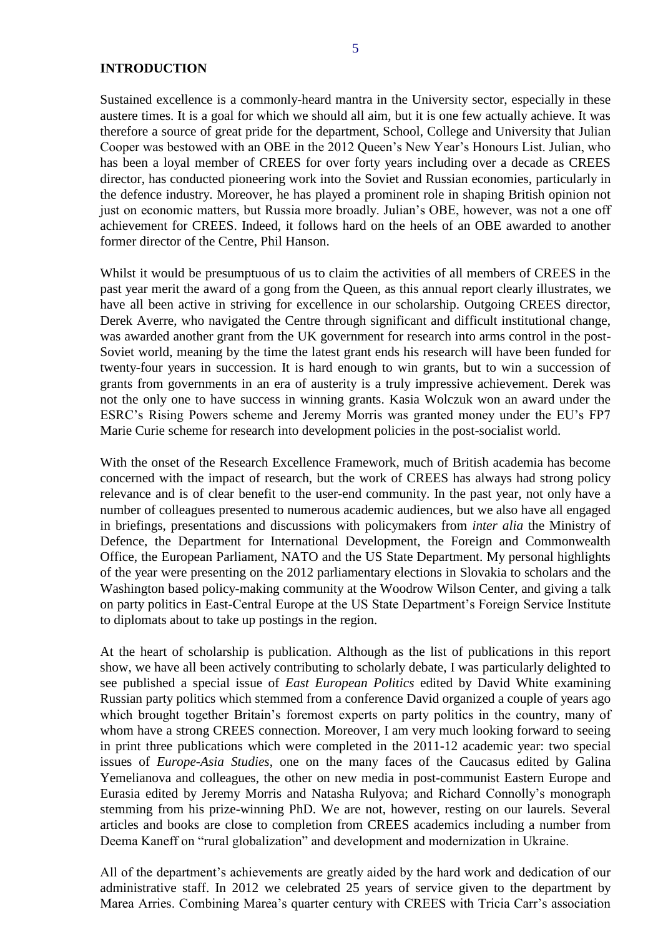#### <span id="page-4-0"></span>**INTRODUCTION**

Sustained excellence is a commonly-heard mantra in the University sector, especially in these austere times. It is a goal for which we should all aim, but it is one few actually achieve. It was therefore a source of great pride for the department, School, College and University that Julian Cooper was bestowed with an OBE in the 2012 Queen's New Year's Honours List. Julian, who has been a loyal member of CREES for over forty years including over a decade as CREES director, has conducted pioneering work into the Soviet and Russian economies, particularly in the defence industry. Moreover, he has played a prominent role in shaping British opinion not just on economic matters, but Russia more broadly. Julian's OBE, however, was not a one off achievement for CREES. Indeed, it follows hard on the heels of an OBE awarded to another former director of the Centre, Phil Hanson.

Whilst it would be presumptuous of us to claim the activities of all members of CREES in the past year merit the award of a gong from the Queen, as this annual report clearly illustrates, we have all been active in striving for excellence in our scholarship. Outgoing CREES director, Derek Averre, who navigated the Centre through significant and difficult institutional change, was awarded another grant from the UK government for research into arms control in the post-Soviet world, meaning by the time the latest grant ends his research will have been funded for twenty-four years in succession. It is hard enough to win grants, but to win a succession of grants from governments in an era of austerity is a truly impressive achievement. Derek was not the only one to have success in winning grants. Kasia Wolczuk won an award under the ESRC's Rising Powers scheme and Jeremy Morris was granted money under the EU's FP7 Marie Curie scheme for research into development policies in the post-socialist world.

With the onset of the Research Excellence Framework, much of British academia has become concerned with the impact of research, but the work of CREES has always had strong policy relevance and is of clear benefit to the user-end community. In the past year, not only have a number of colleagues presented to numerous academic audiences, but we also have all engaged in briefings, presentations and discussions with policymakers from *inter alia* the Ministry of Defence, the Department for International Development, the Foreign and Commonwealth Office, the European Parliament, NATO and the US State Department. My personal highlights of the year were presenting on the 2012 parliamentary elections in Slovakia to scholars and the Washington based policy-making community at the Woodrow Wilson Center, and giving a talk on party politics in East-Central Europe at the US State Department's Foreign Service Institute to diplomats about to take up postings in the region.

At the heart of scholarship is publication. Although as the list of publications in this report show, we have all been actively contributing to scholarly debate, I was particularly delighted to see published a special issue of *East European Politics* edited by David White examining Russian party politics which stemmed from a conference David organized a couple of years ago which brought together Britain's foremost experts on party politics in the country, many of whom have a strong CREES connection. Moreover, I am very much looking forward to seeing in print three publications which were completed in the 2011-12 academic year: two special issues of *Europe-Asia Studies*, one on the many faces of the Caucasus edited by Galina Yemelianova and colleagues, the other on new media in post-communist Eastern Europe and Eurasia edited by Jeremy Morris and Natasha Rulyova; and Richard Connolly's monograph stemming from his prize-winning PhD. We are not, however, resting on our laurels. Several articles and books are close to completion from CREES academics including a number from Deema Kaneff on "rural globalization" and development and modernization in Ukraine.

All of the department's achievements are greatly aided by the hard work and dedication of our administrative staff. In 2012 we celebrated 25 years of service given to the department by Marea Arries. Combining Marea's quarter century with CREES with Tricia Carr's association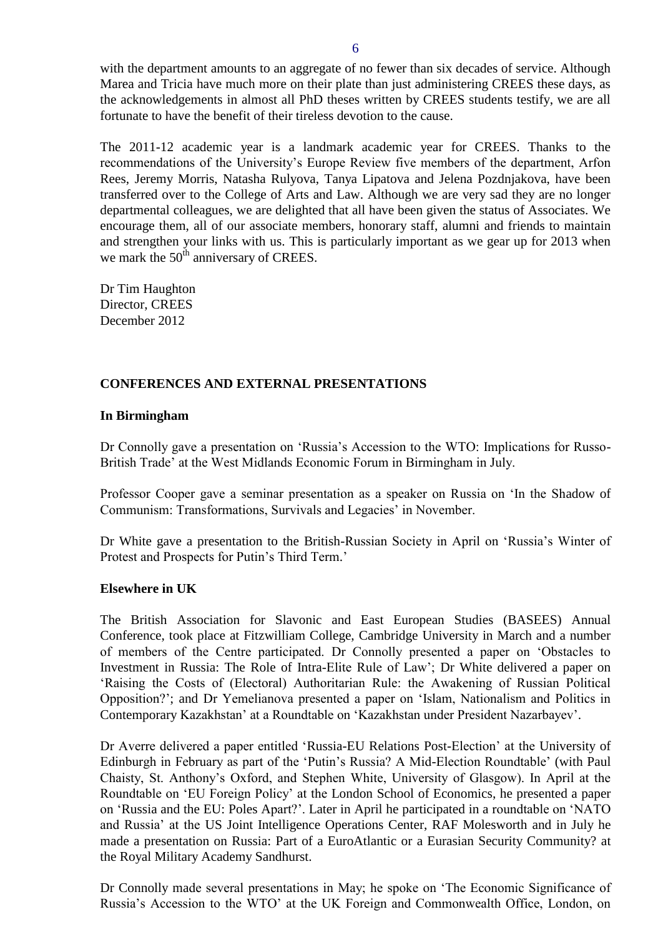with the department amounts to an aggregate of no fewer than six decades of service. Although Marea and Tricia have much more on their plate than just administering CREES these days, as the acknowledgements in almost all PhD theses written by CREES students testify, we are all fortunate to have the benefit of their tireless devotion to the cause.

The 2011-12 academic year is a landmark academic year for CREES. Thanks to the recommendations of the University's Europe Review five members of the department, Arfon Rees, Jeremy Morris, Natasha Rulyova, Tanya Lipatova and Jelena Pozdnjakova, have been transferred over to the College of Arts and Law. Although we are very sad they are no longer departmental colleagues, we are delighted that all have been given the status of Associates. We encourage them, all of our associate members, honorary staff, alumni and friends to maintain and strengthen your links with us. This is particularly important as we gear up for 2013 when we mark the  $50<sup>th</sup>$  anniversary of CREES.

Dr Tim Haughton Director, CREES December 2012

# <span id="page-5-0"></span>**CONFERENCES AND EXTERNAL PRESENTATIONS**

#### <span id="page-5-1"></span>**In Birmingham**

Dr Connolly gave a presentation on 'Russia's Accession to the WTO: Implications for Russo-British Trade' at the West Midlands Economic Forum in Birmingham in July.

Professor Cooper gave a seminar presentation as a speaker on Russia on 'In the Shadow of Communism: Transformations, Survivals and Legacies' in November.

Dr White gave a presentation to the British-Russian Society in April on 'Russia's Winter of Protest and Prospects for Putin's Third Term.'

#### <span id="page-5-2"></span>**Elsewhere in UK**

The British Association for Slavonic and East European Studies (BASEES) Annual Conference, took place at Fitzwilliam College, Cambridge University in March and a number of members of the Centre participated. Dr Connolly presented a paper on 'Obstacles to Investment in Russia: The Role of Intra-Elite Rule of Law'; Dr White delivered a paper on 'Raising the Costs of (Electoral) Authoritarian Rule: the Awakening of Russian Political Opposition?'; and Dr Yemelianova presented a paper on 'Islam, Nationalism and Politics in Contemporary Kazakhstan' at a Roundtable on 'Kazakhstan under President Nazarbayev'.

Dr Averre delivered a paper entitled 'Russia-EU Relations Post-Election' at the University of Edinburgh in February as part of the 'Putin's Russia? A Mid-Election Roundtable' (with Paul Chaisty, St. Anthony's Oxford, and Stephen White, University of Glasgow). In April at the Roundtable on 'EU Foreign Policy' at the London School of Economics, he presented a paper on 'Russia and the EU: Poles Apart?'. Later in April he participated in a roundtable on 'NATO and Russia' at the US Joint Intelligence Operations Center, RAF Molesworth and in July he made a presentation on Russia: Part of a EuroAtlantic or a Eurasian Security Community? at the Royal Military Academy Sandhurst.

Dr Connolly made several presentations in May; he spoke on 'The Economic Significance of Russia's Accession to the WTO' at the UK Foreign and Commonwealth Office, London, on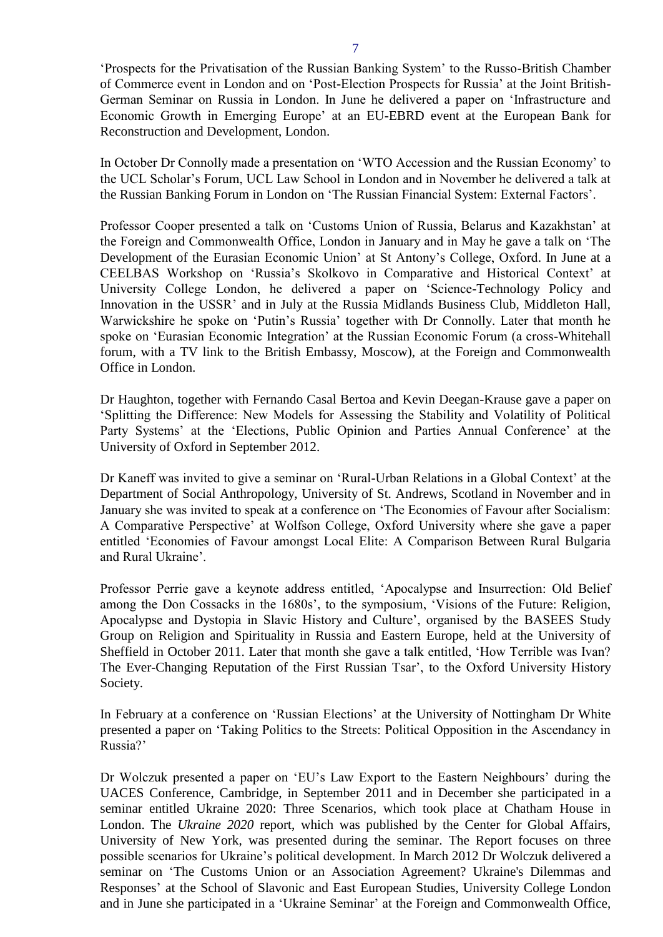'Prospects for the Privatisation of the Russian Banking System' to the Russo-British Chamber of Commerce event in London and on 'Post-Election Prospects for Russia' at the Joint British-German Seminar on Russia in London. In June he delivered a paper on 'Infrastructure and Economic Growth in Emerging Europe' at an EU-EBRD event at the European Bank for Reconstruction and Development, London.

In October Dr Connolly made a presentation on 'WTO Accession and the Russian Economy' to the UCL Scholar's Forum, UCL Law School in London and in November he delivered a talk at the Russian Banking Forum in London on 'The Russian Financial System: External Factors'.

Professor Cooper presented a talk on 'Customs Union of Russia, Belarus and Kazakhstan' at the Foreign and Commonwealth Office, London in January and in May he gave a talk on 'The Development of the Eurasian Economic Union' at St Antony's College, Oxford. In June at a CEELBAS Workshop on 'Russia's Skolkovo in Comparative and Historical Context' at University College London, he delivered a paper on 'Science-Technology Policy and Innovation in the USSR' and in July at the Russia Midlands Business Club, Middleton Hall, Warwickshire he spoke on 'Putin's Russia' together with Dr Connolly. Later that month he spoke on 'Eurasian Economic Integration' at the Russian Economic Forum (a cross-Whitehall forum, with a TV link to the British Embassy, Moscow), at the Foreign and Commonwealth Office in London.

Dr Haughton, together with Fernando Casal Bertoa and Kevin Deegan-Krause gave a paper on 'Splitting the Difference: New Models for Assessing the Stability and Volatility of Political Party Systems' at the 'Elections, Public Opinion and Parties Annual Conference' at the University of Oxford in September 2012.

Dr Kaneff was invited to give a seminar on 'Rural-Urban Relations in a Global Context' at the Department of Social Anthropology, University of St. Andrews, Scotland in November and in January she was invited to speak at a conference on 'The Economies of Favour after Socialism: A Comparative Perspective' at Wolfson College, Oxford University where she gave a paper entitled 'Economies of Favour amongst Local Elite: A Comparison Between Rural Bulgaria and Rural Ukraine'.

Professor Perrie gave a keynote address entitled, 'Apocalypse and Insurrection: Old Belief among the Don Cossacks in the 1680s', to the symposium, 'Visions of the Future: Religion, Apocalypse and Dystopia in Slavic History and Culture', organised by the BASEES Study Group on Religion and Spirituality in Russia and Eastern Europe, held at the University of Sheffield in October 2011. Later that month she gave a talk entitled, 'How Terrible was Ivan? The Ever-Changing Reputation of the First Russian Tsar', to the Oxford University History Society.

In February at a conference on 'Russian Elections' at the University of Nottingham Dr White presented a paper on 'Taking Politics to the Streets: Political Opposition in the Ascendancy in Russia?'

Dr Wolczuk presented a paper on 'EU's Law Export to the Eastern Neighbours' during the UACES Conference, Cambridge, in September 2011 and in December she participated in a seminar entitled Ukraine 2020: Three Scenarios, which took place at Chatham House in London. The *Ukraine 2020* report, which was published by the Center for Global Affairs, University of New York, was presented during the seminar. The Report focuses on three possible scenarios for Ukraine's political development. In March 2012 Dr Wolczuk delivered a seminar on 'The Customs Union or an Association Agreement? Ukraine's Dilemmas and Responses' at the School of Slavonic and East European Studies, University College London and in June she participated in a 'Ukraine Seminar' at the Foreign and Commonwealth Office,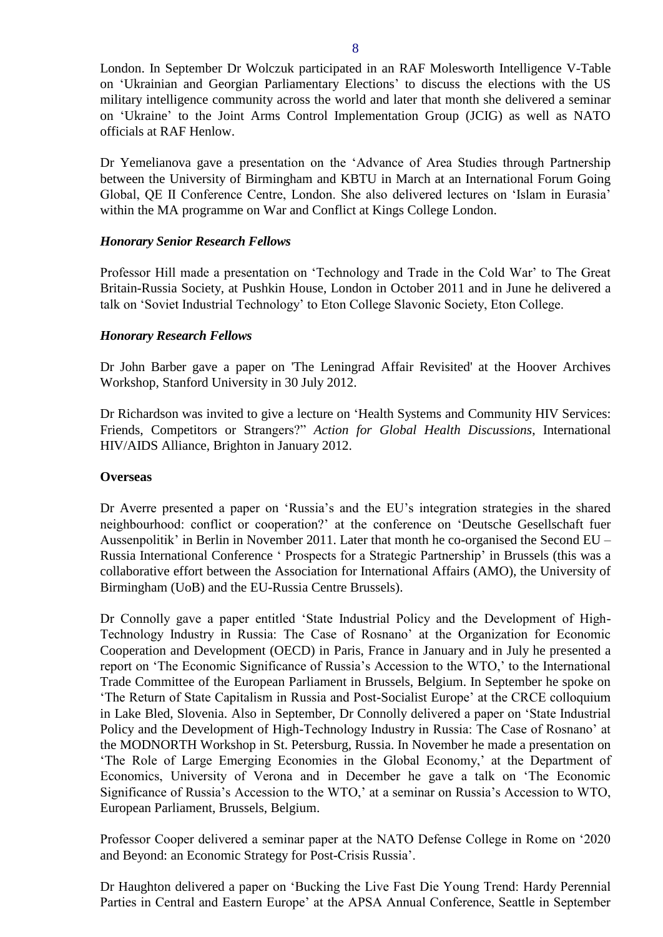London. In September Dr Wolczuk participated in an RAF Molesworth Intelligence V-Table on 'Ukrainian and Georgian Parliamentary Elections' to discuss the elections with the US military intelligence community across the world and later that month she delivered a seminar on 'Ukraine' to the Joint Arms Control Implementation Group (JCIG) as well as NATO officials at RAF Henlow.

Dr Yemelianova gave a presentation on the 'Advance of Area Studies through Partnership between the University of Birmingham and KBTU in March at an International Forum Going Global, QE II Conference Centre, London. She also delivered lectures on 'Islam in Eurasia' within the MA programme on War and Conflict at Kings College London.

## *Honorary Senior Research Fellows*

Professor Hill made a presentation on 'Technology and Trade in the Cold War' to The Great Britain-Russia Society, at Pushkin House, London in October 2011 and in June he delivered a talk on 'Soviet Industrial Technology' to Eton College Slavonic Society, Eton College.

## *Honorary Research Fellows*

Dr John Barber gave a paper on 'The Leningrad Affair Revisited' at the Hoover Archives Workshop, Stanford University in 30 July 2012.

Dr Richardson was invited to give a lecture on 'Health Systems and Community HIV Services: Friends, Competitors or Strangers?" *Action for Global Health Discussions*, International HIV/AIDS Alliance, Brighton in January 2012.

## <span id="page-7-0"></span>**Overseas**

Dr Averre presented a paper on 'Russia's and the EU's integration strategies in the shared neighbourhood: conflict or cooperation?' at the conference on 'Deutsche Gesellschaft fuer Aussenpolitik' in Berlin in November 2011. Later that month he co-organised the Second EU – Russia International Conference ' Prospects for a Strategic Partnership' in Brussels (this was a collaborative effort between the Association for International Affairs (AMO), the University of Birmingham (UoB) and the EU-Russia Centre Brussels).

Dr Connolly gave a paper entitled 'State Industrial Policy and the Development of High-Technology Industry in Russia: The Case of Rosnano' at the Organization for Economic Cooperation and Development (OECD) in Paris, France in January and in July he presented a report on 'The Economic Significance of Russia's Accession to the WTO,' to the International Trade Committee of the European Parliament in Brussels, Belgium. In September he spoke on 'The Return of State Capitalism in Russia and Post-Socialist Europe' at the CRCE colloquium in Lake Bled, Slovenia. Also in September, Dr Connolly delivered a paper on 'State Industrial Policy and the Development of High-Technology Industry in Russia: The Case of Rosnano' at the MODNORTH Workshop in St. Petersburg, Russia. In November he made a presentation on 'The Role of Large Emerging Economies in the Global Economy,' at the Department of Economics, University of Verona and in December he gave a talk on 'The Economic Significance of Russia's Accession to the WTO,' at a seminar on Russia's Accession to WTO, European Parliament, Brussels, Belgium.

Professor Cooper delivered a seminar paper at the NATO Defense College in Rome on '2020 and Beyond: an Economic Strategy for Post-Crisis Russia'.

Dr Haughton delivered a paper on 'Bucking the Live Fast Die Young Trend: Hardy Perennial Parties in Central and Eastern Europe' at the APSA Annual Conference, Seattle in September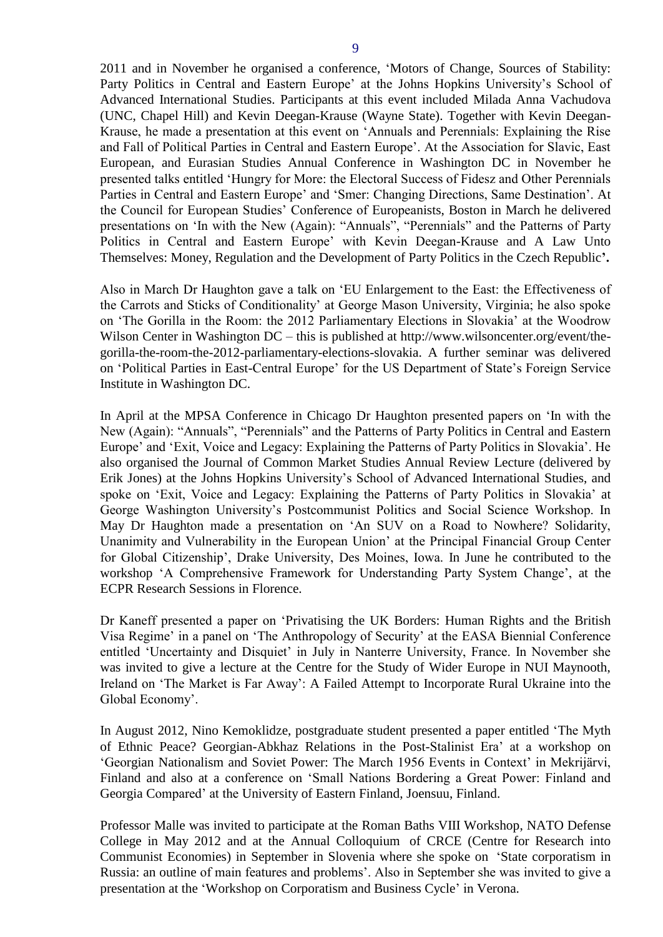2011 and in November he organised a conference, 'Motors of Change, Sources of Stability: Party Politics in Central and Eastern Europe' at the Johns Hopkins University's School of Advanced International Studies. Participants at this event included Milada Anna Vachudova (UNC, Chapel Hill) and Kevin Deegan-Krause (Wayne State). Together with Kevin Deegan-Krause, he made a presentation at this event on 'Annuals and Perennials: Explaining the Rise and Fall of Political Parties in Central and Eastern Europe'. At the Association for Slavic, East European, and Eurasian Studies Annual Conference in Washington DC in November he presented talks entitled 'Hungry for More: the Electoral Success of Fidesz and Other Perennials Parties in Central and Eastern Europe' and 'Smer: Changing Directions, Same Destination'. At the Council for European Studies' Conference of Europeanists, Boston in March he delivered presentations on 'In with the New (Again): "Annuals", "Perennials" and the Patterns of Party Politics in Central and Eastern Europe' with Kevin Deegan-Krause and A Law Unto Themselves: Money, Regulation and the Development of Party Politics in the Czech Republic**'.** 

Also in March Dr Haughton gave a talk on 'EU Enlargement to the East: the Effectiveness of the Carrots and Sticks of Conditionality' at George Mason University, Virginia; he also spoke on 'The Gorilla in the Room: the 2012 Parliamentary Elections in Slovakia' at the Woodrow Wilson Center in Washington DC – this is published at http://www.wilsoncenter.org/event/thegorilla-the-room-the-2012-parliamentary-elections-slovakia. A further seminar was delivered on 'Political Parties in East-Central Europe' for the US Department of State's Foreign Service Institute in Washington DC.

In April at the MPSA Conference in Chicago Dr Haughton presented papers on 'In with the New (Again): "Annuals", "Perennials" and the Patterns of Party Politics in Central and Eastern Europe' and 'Exit, Voice and Legacy: Explaining the Patterns of Party Politics in Slovakia'. He also organised the Journal of Common Market Studies Annual Review Lecture (delivered by Erik Jones) at the Johns Hopkins University's School of Advanced International Studies, and spoke on 'Exit, Voice and Legacy: Explaining the Patterns of Party Politics in Slovakia' at George Washington University's Postcommunist Politics and Social Science Workshop. In May Dr Haughton made a presentation on 'An SUV on a Road to Nowhere? Solidarity, Unanimity and Vulnerability in the European Union' at the Principal Financial Group Center for Global Citizenship', Drake University, Des Moines, Iowa. In June he contributed to the workshop 'A Comprehensive Framework for Understanding Party System Change', at the ECPR Research Sessions in Florence.

Dr Kaneff presented a paper on 'Privatising the UK Borders: Human Rights and the British Visa Regime' in a panel on 'The Anthropology of Security' at the EASA Biennial Conference entitled 'Uncertainty and Disquiet' in July in Nanterre University, France. In November she was invited to give a lecture at the Centre for the Study of Wider Europe in NUI Maynooth, Ireland on 'The Market is Far Away': A Failed Attempt to Incorporate Rural Ukraine into the Global Economy'.

In August 2012, Nino Kemoklidze, postgraduate student presented a paper entitled 'The Myth of Ethnic Peace? Georgian-Abkhaz Relations in the Post-Stalinist Era' at a workshop on 'Georgian Nationalism and Soviet Power: The March 1956 Events in Context' in Mekrijärvi, Finland and also at a conference on 'Small Nations Bordering a Great Power: Finland and Georgia Compared' at the University of Eastern Finland, Joensuu, Finland.

Professor Malle was invited to participate at the Roman Baths VIII Workshop, NATO Defense College in May 2012 and at the Annual Colloquium of CRCE (Centre for Research into Communist Economies) in September in Slovenia where she spoke on 'State corporatism in Russia: an outline of main features and problems'. Also in September she was invited to give a presentation at the 'Workshop on Corporatism and Business Cycle' in Verona.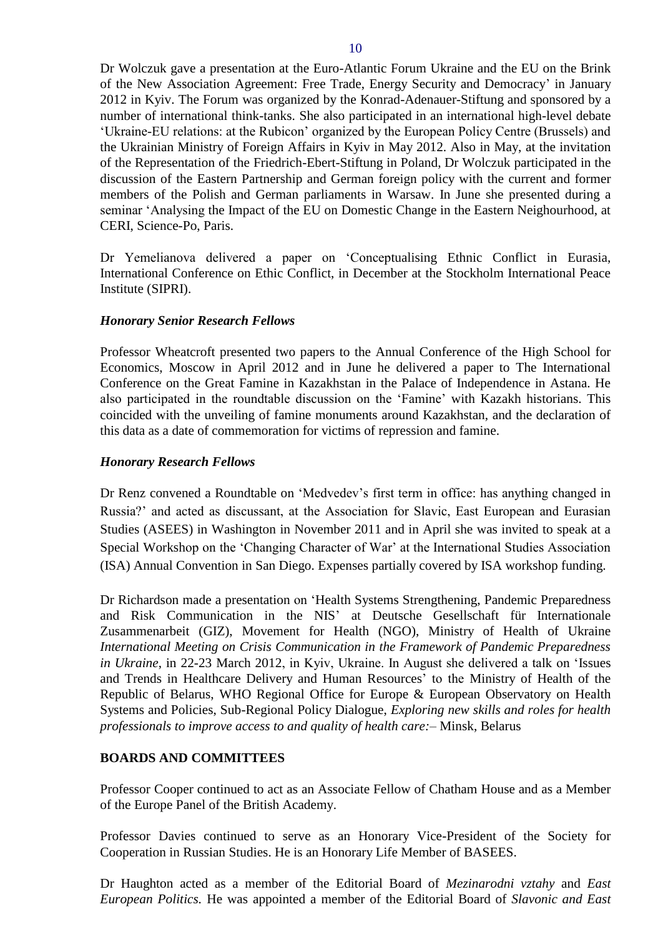Dr Wolczuk gave a presentation at the Euro-Atlantic Forum Ukraine and the EU on the Brink of the New Association Agreement: Free Trade, Energy Security and Democracy' in January 2012 in Kyiv. The Forum was organized by the Konrad-Adenauer-Stiftung and sponsored by a number of international think-tanks. She also participated in an international high-level debate 'Ukraine-EU relations: at the Rubicon' organized by the European Policy Centre (Brussels) and the Ukrainian Ministry of Foreign Affairs in Kyiv in May 2012. Also in May, at the invitation of the Representation of the Friedrich-Ebert-Stiftung in Poland, [Dr Wolczuk](http://www.birmingham.ac.uk/staff/profiles/government-society/wolczuk-kataryna.aspx) participated in the discussion of the Eastern Partnership and German foreign policy with the current and former members of the Polish and German parliaments in Warsaw. In June she presented during a seminar 'Analysing the Impact of the EU on Domestic Change in the Eastern Neighourhood, at CERI, Science-Po, Paris.

Dr Yemelianova delivered a paper on 'Conceptualising Ethnic Conflict in Eurasia, International Conference on Ethic Conflict, in December at the Stockholm International Peace Institute (SIPRI).

# *Honorary Senior Research Fellows*

Professor Wheatcroft presented two papers to the Annual Conference of the High School for Economics, Moscow in April 2012 and in June he delivered a paper to The International Conference on the Great Famine in Kazakhstan in the Palace of Independence in Astana. He also participated in the roundtable discussion on the 'Famine' with Kazakh historians. This coincided with the unveiling of famine monuments around Kazakhstan, and the declaration of this data as a date of commemoration for victims of repression and famine.

## *Honorary Research Fellows*

Dr Renz convened a Roundtable on 'Medvedev's first term in office: has anything changed in Russia?' and acted as discussant, at the Association for Slavic, East European and Eurasian Studies (ASEES) in Washington in November 2011 and in April she was invited to speak at a Special Workshop on the 'Changing Character of War' at the International Studies Association (ISA) Annual Convention in San Diego. Expenses partially covered by ISA workshop funding.

Dr Richardson made a presentation on 'Health Systems Strengthening, Pandemic Preparedness and Risk Communication in the NIS' at Deutsche Gesellschaft für Internationale Zusammenarbeit (GIZ), Movement for Health (NGO), Ministry of Health of Ukraine *International Meeting on Crisis Communication in the Framework of Pandemic Preparedness in Ukraine*, in 22-23 March 2012, in Kyiv, Ukraine. In August she delivered a talk on 'Issues and Trends in Healthcare Delivery and Human Resources' to the Ministry of Health of the Republic of Belarus, WHO Regional Office for Europe & European Observatory on Health Systems and Policies, Sub-Regional Policy Dialogue, *Exploring new skills and roles for health professionals to improve access to and quality of health care:*– Minsk, Belarus

## <span id="page-9-0"></span>**BOARDS AND COMMITTEES**

Professor Cooper continued to act as an Associate Fellow of Chatham House and as a Member of the Europe Panel of the British Academy.

Professor Davies continued to serve as an Honorary Vice-President of the Society for Cooperation in Russian Studies. He is an Honorary Life Member of BASEES.

Dr Haughton acted as a member of the Editorial Board of *Mezinarodni vztahy* and *East European Politics.* He was appointed a member of the Editorial Board of *Slavonic and East*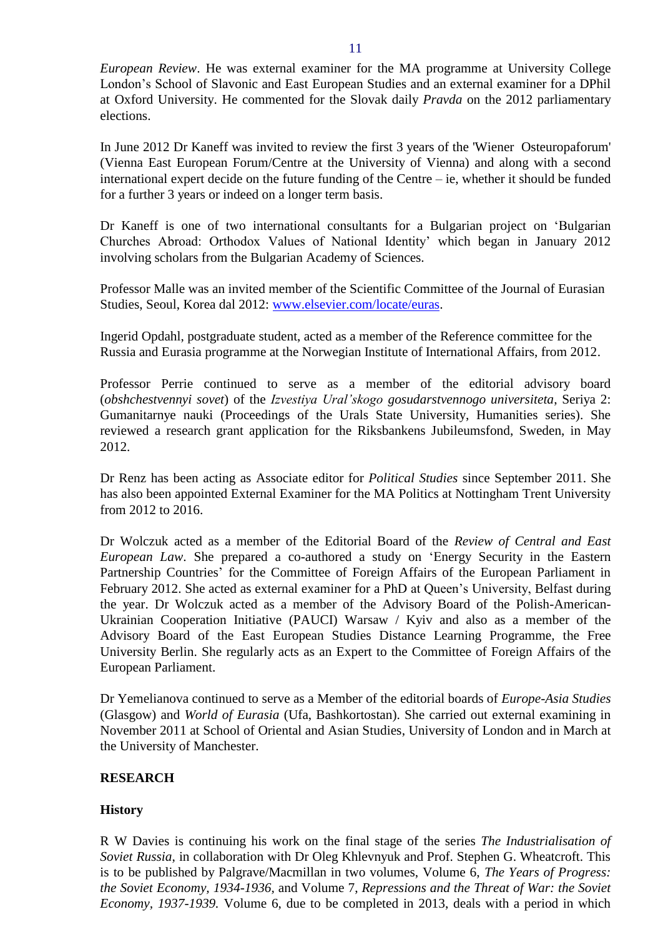*European Review*. He was external examiner for the MA programme at University College London's School of Slavonic and East European Studies and an external examiner for a DPhil at Oxford University. He commented for the Slovak daily *Pravda* on the 2012 parliamentary elections.

In June 2012 Dr Kaneff was invited to review the first 3 years of the 'Wiener Osteuropaforum' (Vienna East European Forum/Centre at the University of Vienna) and along with a second international expert decide on the future funding of the Centre – ie, whether it should be funded for a further 3 years or indeed on a longer term basis.

Dr Kaneff is one of two international consultants for a Bulgarian project on 'Bulgarian Churches Abroad: Orthodox Values of National Identity' which began in January 2012 involving scholars from the Bulgarian Academy of Sciences.

Professor Malle was an invited member of the Scientific Committee of the Journal of Eurasian Studies, Seoul, Korea dal 2012: [www.elsevier.com/locate/euras.](http://www.elsevier.com/locate/euras)

Ingerid Opdahl, postgraduate student, acted as a member of the Reference committee for the Russia and Eurasia programme at the Norwegian Institute of International Affairs, from 2012.

Professor Perrie continued to serve as a member of the editorial advisory board (*obshchestvennyi sovet*) of the *Izvestiya Ural'skogo gosudarstvennogo universiteta*, Seriya 2: Gumanitarnye nauki (Proceedings of the Urals State University, Humanities series). She reviewed a research grant application for the Riksbankens Jubileumsfond, Sweden, in May 2012.

Dr Renz has been acting as Associate editor for *Political Studies* since September 2011. She has also been appointed External Examiner for the MA Politics at Nottingham Trent University from 2012 to 2016.

Dr Wolczuk acted as a member of the Editorial Board of the *Review of Central and East European Law*. She prepared a co-authored a study on 'Energy Security in the Eastern Partnership Countries' for the Committee of Foreign Affairs of the European Parliament in February 2012. She acted as external examiner for a PhD at Queen's University, Belfast during the year. Dr Wolczuk acted as a member of the Advisory Board of the Polish-American-Ukrainian Cooperation Initiative (PAUCI) Warsaw / Kyiv and also as a member of the Advisory Board of the East European Studies Distance Learning Programme, the Free University Berlin. She regularly acts as an Expert to the Committee of Foreign Affairs of the European Parliament.

Dr Yemelianova continued to serve as a Member of the editorial boards of *Europe-Asia Studies*  (Glasgow) and *World of Eurasia* (Ufa, Bashkortostan). She carried out external examining in November 2011 at School of Oriental and Asian Studies, University of London and in March at the University of Manchester.

## <span id="page-10-0"></span>**RESEARCH**

## <span id="page-10-1"></span>**History**

R W Davies is continuing his work on the final stage of the series *The Industrialisation of Soviet Russia*, in collaboration with Dr Oleg Khlevnyuk and Prof. Stephen G. Wheatcroft. This is to be published by Palgrave/Macmillan in two volumes, Volume 6, *The Years of Progress: the Soviet Economy, 1934-1936,* and Volume 7, *Repressions and the Threat of War: the Soviet Economy, 1937-1939.* Volume 6, due to be completed in 2013, deals with a period in which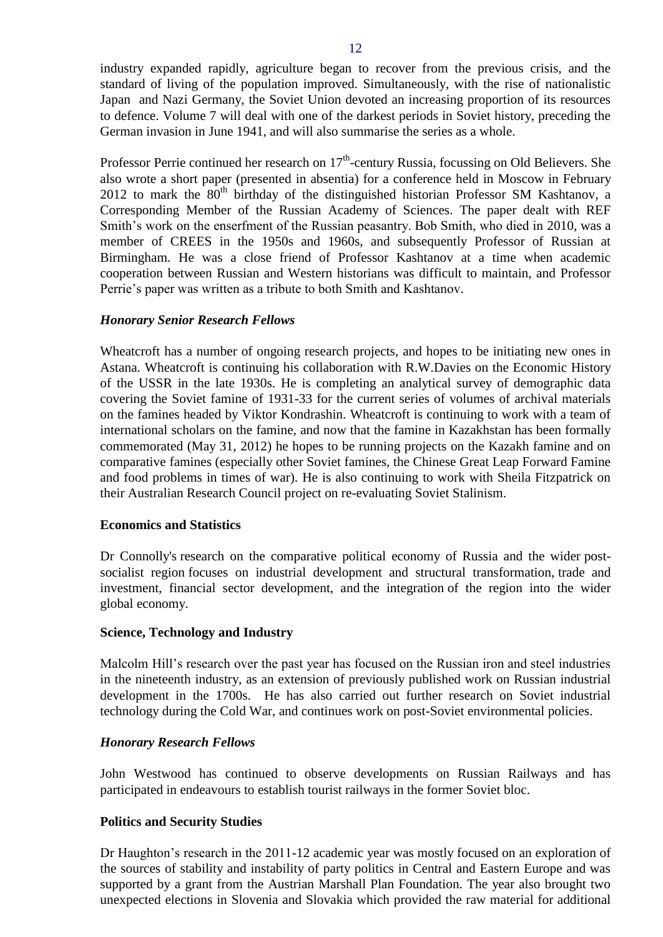industry expanded rapidly, agriculture began to recover from the previous crisis, and the standard of living of the population improved. Simultaneously, with the rise of nationalistic Japan and Nazi Germany, the Soviet Union devoted an increasing proportion of its resources to defence. Volume 7 will deal with one of the darkest periods in Soviet history, preceding the German invasion in June 1941, and will also summarise the series as a whole.

Professor Perrie continued her research on  $17<sup>th</sup>$ -century Russia, focussing on Old Believers. She also wrote a short paper (presented in absentia) for a conference held in Moscow in February 2012 to mark the  $80<sup>th</sup>$  birthday of the distinguished historian Professor SM Kashtanov, a Corresponding Member of the Russian Academy of Sciences. The paper dealt with REF Smith's work on the enserfment of the Russian peasantry. Bob Smith, who died in 2010, was a member of CREES in the 1950s and 1960s, and subsequently Professor of Russian at Birmingham. He was a close friend of Professor Kashtanov at a time when academic cooperation between Russian and Western historians was difficult to maintain, and Professor Perrie's paper was written as a tribute to both Smith and Kashtanov.

## *Honorary Senior Research Fellows*

Wheatcroft has a number of ongoing research projects, and hopes to be initiating new ones in Astana. Wheatcroft is continuing his collaboration with R.W.Davies on the Economic History of the USSR in the late 1930s. He is completing an analytical survey of demographic data covering the Soviet famine of 1931-33 for the current series of volumes of archival materials on the famines headed by Viktor Kondrashin. Wheatcroft is continuing to work with a team of international scholars on the famine, and now that the famine in Kazakhstan has been formally commemorated (May 31, 2012) he hopes to be running projects on the Kazakh famine and on comparative famines (especially other Soviet famines, the Chinese Great Leap Forward Famine and food problems in times of war). He is also continuing to work with Sheila Fitzpatrick on their Australian Research Council project on re-evaluating Soviet Stalinism.

## <span id="page-11-0"></span>**Economics and Statistics**

Dr Connolly's research on the comparative political economy of Russia and the wider postsocialist region focuses on industrial development and structural transformation, trade and investment, financial sector development, and the integration of the region into the wider global economy.

## <span id="page-11-1"></span>**Science, Technology and Industry**

Malcolm Hill's research over the past year has focused on the Russian iron and steel industries in the nineteenth industry, as an extension of previously published work on Russian industrial development in the 1700s. He has also carried out further research on Soviet industrial technology during the Cold War, and continues work on post-Soviet environmental policies.

## *Honorary Research Fellows*

John Westwood has continued to observe developments on Russian Railways and has participated in endeavours to establish tourist railways in the former Soviet bloc.

#### <span id="page-11-2"></span>**Politics and Security Studies**

Dr Haughton's research in the 2011-12 academic year was mostly focused on an exploration of the sources of stability and instability of party politics in Central and Eastern Europe and was supported by a grant from the Austrian Marshall Plan Foundation. The year also brought two unexpected elections in Slovenia and Slovakia which provided the raw material for additional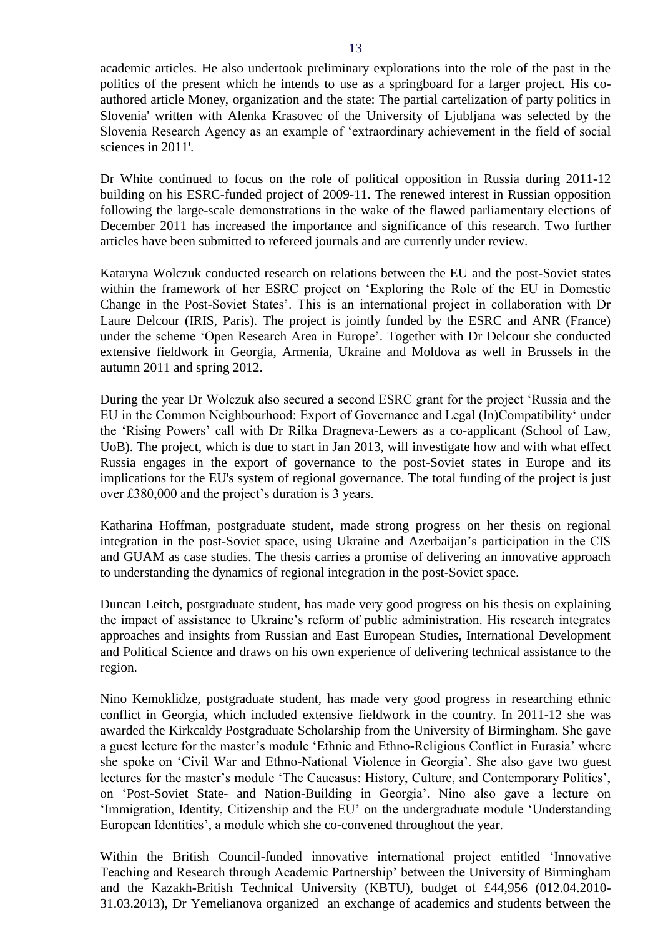academic articles. He also undertook preliminary explorations into the role of the past in the politics of the present which he intends to use as a springboard for a larger project. His coauthored article Money, organization and the state: The partial cartelization of party politics in Slovenia' written with Alenka Krasovec of the University of Ljubljana was selected by the Slovenia Research Agency as an example of 'extraordinary achievement in the field of social sciences in 2011'.

Dr White continued to focus on the role of political opposition in Russia during 2011-12 building on his ESRC-funded project of 2009-11. The renewed interest in Russian opposition following the large-scale demonstrations in the wake of the flawed parliamentary elections of December 2011 has increased the importance and significance of this research. Two further articles have been submitted to refereed journals and are currently under review.

Kataryna Wolczuk conducted research on relations between the EU and the post-Soviet states within the framework of her ESRC project on 'Exploring the Role of the EU in Domestic Change in the Post-Soviet States'. This is an international project in collaboration with Dr Laure Delcour (IRIS, Paris). The project is jointly funded by the ESRC and ANR (France) under the scheme 'Open Research Area in Europe'. Together with Dr Delcour she conducted extensive fieldwork in Georgia, Armenia, Ukraine and Moldova as well in Brussels in the autumn 2011 and spring 2012.

During the year Dr Wolczuk also secured a second ESRC grant for the project 'Russia and the EU in the Common Neighbourhood: Export of Governance and Legal (In)Compatibility' under the 'Rising Powers' call with Dr Rilka Dragneva-Lewers as a co-applicant (School of Law, UoB). The project, which is due to start in Jan 2013, will investigate how and with what effect Russia engages in the export of governance to the post-Soviet states in Europe and its implications for the EU's system of regional governance. The total funding of the project is just over £380,000 and the project's duration is 3 years.

Katharina Hoffman, postgraduate student, made strong progress on her thesis on regional integration in the post-Soviet space, using Ukraine and Azerbaijan's participation in the CIS and GUAM as case studies. The thesis carries a promise of delivering an innovative approach to understanding the dynamics of regional integration in the post-Soviet space.

Duncan Leitch, postgraduate student, has made very good progress on his thesis on explaining the impact of assistance to Ukraine's reform of public administration. His research integrates approaches and insights from Russian and East European Studies, International Development and Political Science and draws on his own experience of delivering technical assistance to the region.

Nino Kemoklidze, postgraduate student, has made very good progress in researching ethnic conflict in Georgia, which included extensive fieldwork in the country. In 2011-12 she was awarded the Kirkcaldy Postgraduate Scholarship from the University of Birmingham. She gave a guest lecture for the master's module 'Ethnic and Ethno-Religious Conflict in Eurasia' where she spoke on 'Civil War and Ethno-National Violence in Georgia'. She also gave two guest lectures for the master's module 'The Caucasus: History, Culture, and Contemporary Politics', on 'Post-Soviet State- and Nation-Building in Georgia'. Nino also gave a lecture on 'Immigration, Identity, Citizenship and the EU' on the undergraduate module 'Understanding European Identities', a module which she co-convened throughout the year.

Within the British Council-funded innovative international project entitled 'Innovative Teaching and Research through Academic Partnership' between the University of Birmingham and the Kazakh-British Technical University (KBTU), budget of £44,956 (012.04.2010- 31.03.2013), Dr Yemelianova organized an exchange of academics and students between the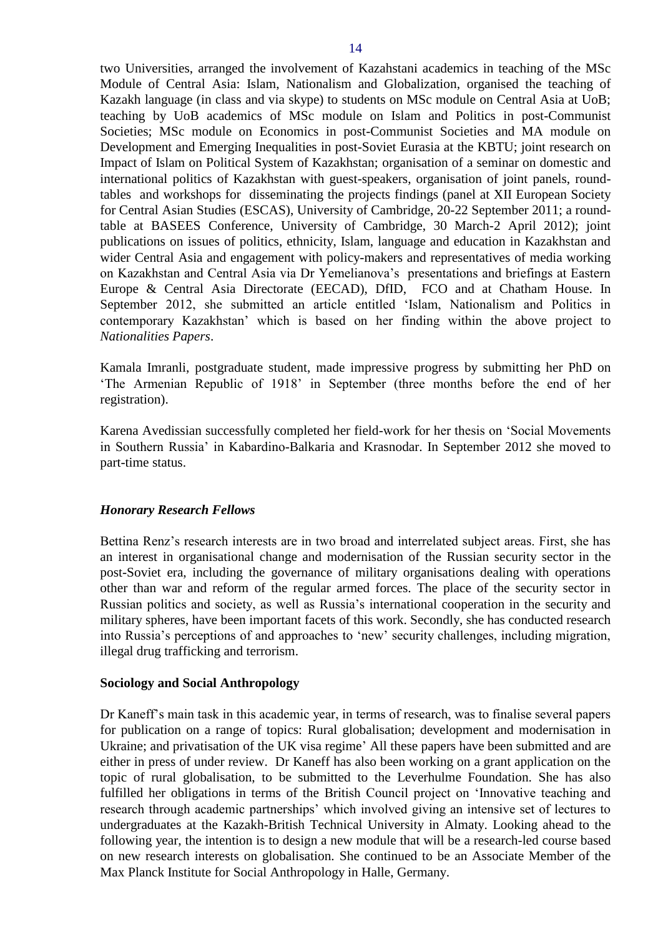two Universities, arranged the involvement of Kazahstani academics in teaching of the MSc Module of Central Asia: Islam, Nationalism and Globalization, organised the teaching of Kazakh language (in class and via skype) to students on MSc module on Central Asia at UoB; teaching by UoB academics of MSc module on Islam and Politics in post-Communist Societies; MSc module on Economics in post-Communist Societies and MA module on Development and Emerging Inequalities in post-Soviet Eurasia at the KBTU; joint research on Impact of Islam on Political System of Kazakhstan; organisation of a seminar on domestic and international politics of Kazakhstan with guest-speakers, organisation of joint panels, roundtables and workshops for disseminating the projects findings (panel at XII European Society for Central Asian Studies (ESCAS), University of Cambridge, 20-22 September 2011; a roundtable at BASEES Conference, University of Cambridge, 30 March-2 April 2012); joint publications on issues of politics, ethnicity, Islam, language and education in Kazakhstan and wider Central Asia and engagement with policy-makers and representatives of media working on Kazakhstan and Central Asia via Dr Yemelianova's presentations and briefings at Eastern Europe & Central Asia Directorate (EECAD), DfID, FCO and at Chatham House. In September 2012, she submitted an article entitled 'Islam, Nationalism and Politics in contemporary Kazakhstan' which is based on her finding within the above project to *Nationalities Papers*.

Kamala Imranli, postgraduate student, made impressive progress by submitting her PhD on 'The Armenian Republic of 1918' in September (three months before the end of her registration).

Karena Avedissian successfully completed her field-work for her thesis on 'Social Movements in Southern Russia' in Kabardino-Balkaria and Krasnodar. In September 2012 she moved to part-time status.

#### *Honorary Research Fellows*

Bettina Renz's research interests are in two broad and interrelated subject areas. First, she has an interest in organisational change and modernisation of the Russian security sector in the post-Soviet era, including the governance of military organisations dealing with operations other than war and reform of the regular armed forces. The place of the security sector in Russian politics and society, as well as Russia's international cooperation in the security and military spheres, have been important facets of this work. Secondly, she has conducted research into Russia's perceptions of and approaches to 'new' security challenges, including migration, illegal drug trafficking and terrorism.

#### **Sociology and Social Anthropology**

Dr Kaneff's main task in this academic year, in terms of research, was to finalise several papers for publication on a range of topics: Rural globalisation; development and modernisation in Ukraine; and privatisation of the UK visa regime' All these papers have been submitted and are either in press of under review. Dr Kaneff has also been working on a grant application on the topic of rural globalisation, to be submitted to the Leverhulme Foundation. She has also fulfilled her obligations in terms of the British Council project on 'Innovative teaching and research through academic partnerships' which involved giving an intensive set of lectures to undergraduates at the Kazakh-British Technical University in Almaty. Looking ahead to the following year, the intention is to design a new module that will be a research-led course based on new research interests on globalisation. She continued to be an Associate Member of the Max Planck Institute for Social Anthropology in Halle, Germany.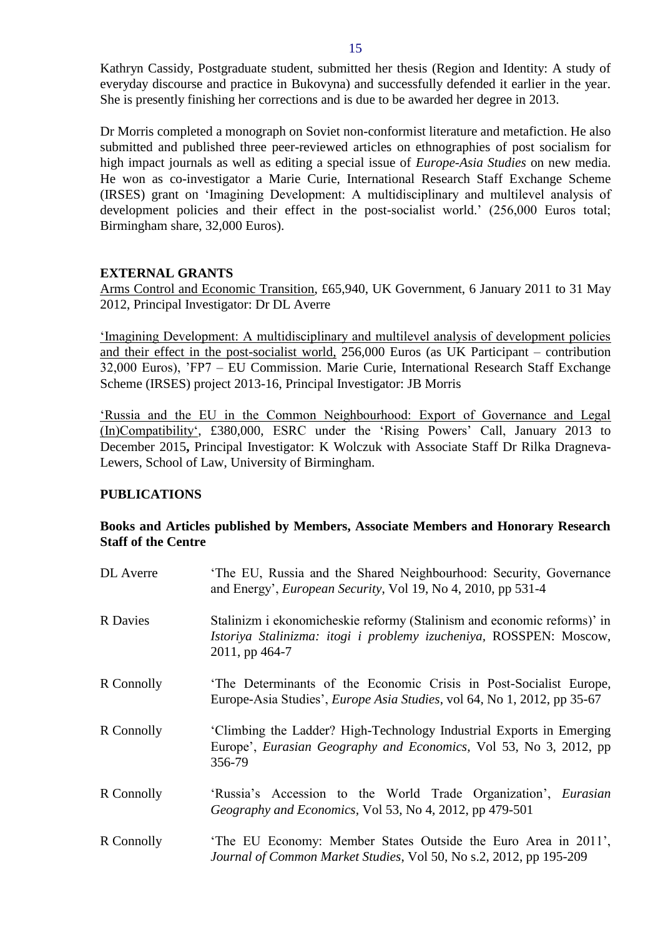Kathryn Cassidy, Postgraduate student, submitted her thesis (Region and Identity: A study of everyday discourse and practice in Bukovyna) and successfully defended it earlier in the year. She is presently finishing her corrections and is due to be awarded her degree in 2013.

Dr Morris completed a monograph on Soviet non-conformist literature and metafiction. He also submitted and published three peer-reviewed articles on ethnographies of post socialism for high impact journals as well as editing a special issue of *Europe-Asia Studies* on new media. He won as co-investigator a Marie Curie, International Research Staff Exchange Scheme (IRSES) grant on 'Imagining Development: A multidisciplinary and multilevel analysis of development policies and their effect in the post-socialist world.' (256,000 Euros total; Birmingham share, 32,000 Euros).

# <span id="page-14-0"></span>**EXTERNAL GRANTS**

Arms Control and Economic Transition, £65,940, UK Government, 6 January 2011 to 31 May 2012, Principal Investigator: Dr DL Averre

'Imagining Development: A multidisciplinary and multilevel analysis of development policies and their effect in the post-socialist world, 256,000 Euros (as UK Participant – contribution 32,000 Euros), 'FP7 – EU Commission. Marie Curie, International Research Staff Exchange Scheme (IRSES) project 2013-16, Principal Investigator: JB Morris

'Russia and the EU in the Common Neighbourhood: Export of Governance and Legal (In)Compatibility', £380,000, ESRC under the 'Rising Powers' Call, January 2013 to December 2015**,** Principal Investigator: K Wolczuk with Associate Staff Dr Rilka Dragneva-Lewers, School of Law, University of Birmingham.

# <span id="page-14-1"></span>**PUBLICATIONS**

# <span id="page-14-2"></span>**Books and Articles published by Members, Associate Members and Honorary Research Staff of the Centre**

| <b>DL</b> Averre | 'The EU, Russia and the Shared Neighbourhood: Security, Governance<br>and Energy', <i>European Security</i> , Vol 19, No 4, 2010, pp 531-4                      |
|------------------|-----------------------------------------------------------------------------------------------------------------------------------------------------------------|
| <b>R</b> Davies  | Stalinizm i ekonomicheskie reformy (Stalinism and economic reforms)' in<br>Istoriya Stalinizma: itogi i problemy izucheniya, ROSSPEN: Moscow,<br>2011, pp 464-7 |
| R Connolly       | The Determinants of the Economic Crisis in Post-Socialist Europe,<br>Europe-Asia Studies', <i>Europe Asia Studies</i> , vol 64, No 1, 2012, pp 35-67            |
| R Connolly       | 'Climbing the Ladder? High-Technology Industrial Exports in Emerging<br>Europe', Eurasian Geography and Economics, Vol 53, No 3, 2012, pp<br>356-79             |
| R Connolly       | 'Russia's Accession to the World Trade Organization', Eurasian<br>Geography and Economics, Vol 53, No 4, 2012, pp 479-501                                       |
| R Connolly       | 'The EU Economy: Member States Outside the Euro Area in 2011',<br>Journal of Common Market Studies, Vol 50, No s.2, 2012, pp 195-209                            |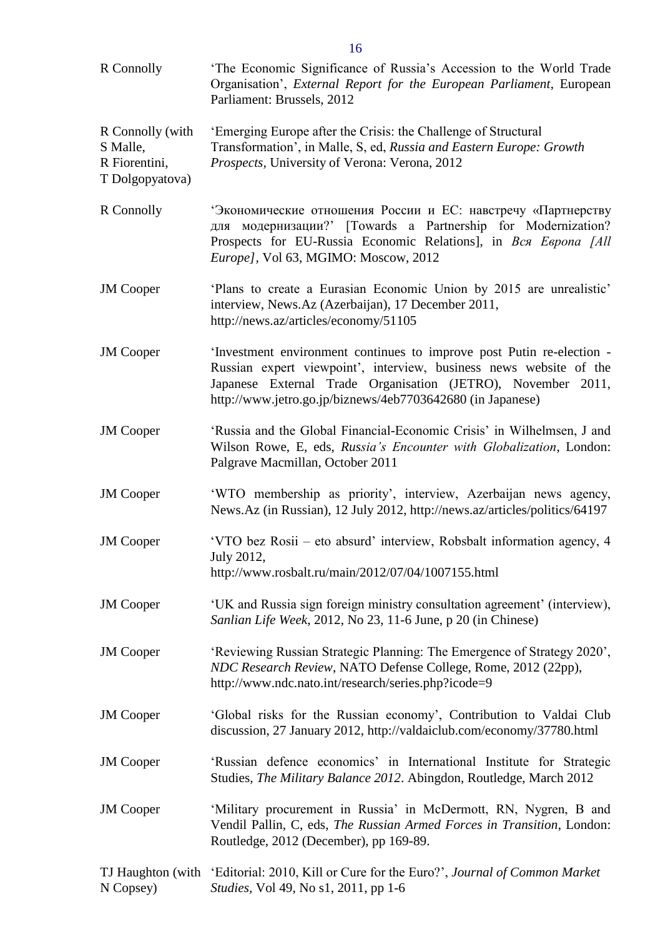| R Connolly                                                       | 'The Economic Significance of Russia's Accession to the World Trade<br>Organisation', External Report for the European Parliament, European<br>Parliament: Brussels, 2012                                                                                                 |
|------------------------------------------------------------------|---------------------------------------------------------------------------------------------------------------------------------------------------------------------------------------------------------------------------------------------------------------------------|
| R Connolly (with<br>S Malle,<br>R Fiorentini,<br>T Dolgopyatova) | 'Emerging Europe after the Crisis: the Challenge of Structural<br>Transformation', in Malle, S, ed, Russia and Eastern Europe: Growth<br>Prospects, University of Verona: Verona, 2012                                                                                    |
| R Connolly                                                       | Экономические отношения России и ЕС: навстречу «Партнерству<br>для модернизации?' [Towards a Partnership for Modernization?<br>Prospects for EU-Russia Economic Relations], in Bca Espona [All<br>Europe], Vol 63, MGIMO: Moscow, 2012                                    |
| <b>JM</b> Cooper                                                 | 'Plans to create a Eurasian Economic Union by 2015 are unrealistic'<br>interview, News.Az (Azerbaijan), 17 December 2011,<br>http://news.az/articles/economy/51105                                                                                                        |
| <b>JM</b> Cooper                                                 | 'Investment environment continues to improve post Putin re-election -<br>Russian expert viewpoint', interview, business news website of the<br>Japanese External Trade Organisation (JETRO), November 2011,<br>http://www.jetro.go.jp/biznews/4eb7703642680 (in Japanese) |
| <b>JM</b> Cooper                                                 | 'Russia and the Global Financial-Economic Crisis' in Wilhelmsen, J and<br>Wilson Rowe, E, eds, Russia's Encounter with Globalization, London:<br>Palgrave Macmillan, October 2011                                                                                         |
| <b>JM</b> Cooper                                                 | 'WTO membership as priority', interview, Azerbaijan news agency,<br>News.Az (in Russian), 12 July 2012, http://news.az/articles/politics/64197                                                                                                                            |
| <b>JM</b> Cooper                                                 | 'VTO bez Rosii – eto absurd' interview, Robsbalt information agency, 4<br>July 2012,<br>http://www.rosbalt.ru/main/2012/07/04/1007155.html                                                                                                                                |
| <b>JM</b> Cooper                                                 | 'UK and Russia sign foreign ministry consultation agreement' (interview),<br>Sanlian Life Week, 2012, No 23, 11-6 June, p 20 (in Chinese)                                                                                                                                 |
| <b>JM</b> Cooper                                                 | 'Reviewing Russian Strategic Planning: The Emergence of Strategy 2020',<br>NDC Research Review, NATO Defense College, Rome, 2012 (22pp),<br>http://www.ndc.nato.int/research/series.php?icode=9                                                                           |
| <b>JM</b> Cooper                                                 | 'Global risks for the Russian economy', Contribution to Valdai Club<br>discussion, 27 January 2012, http://valdaiclub.com/economy/37780.html                                                                                                                              |
| <b>JM</b> Cooper                                                 | 'Russian defence economics' in International Institute for Strategic<br>Studies, The Military Balance 2012. Abingdon, Routledge, March 2012                                                                                                                               |
| <b>JM</b> Cooper                                                 | 'Military procurement in Russia' in McDermott, RN, Nygren, B and<br>Vendil Pallin, C, eds, The Russian Armed Forces in Transition, London:<br>Routledge, 2012 (December), pp 169-89.                                                                                      |
| N Copsey)                                                        | TJ Haughton (with 'Editorial: 2010, Kill or Cure for the Euro?', Journal of Common Market<br><i>Studies</i> , Vol 49, No s1, 2011, pp 1-6                                                                                                                                 |

16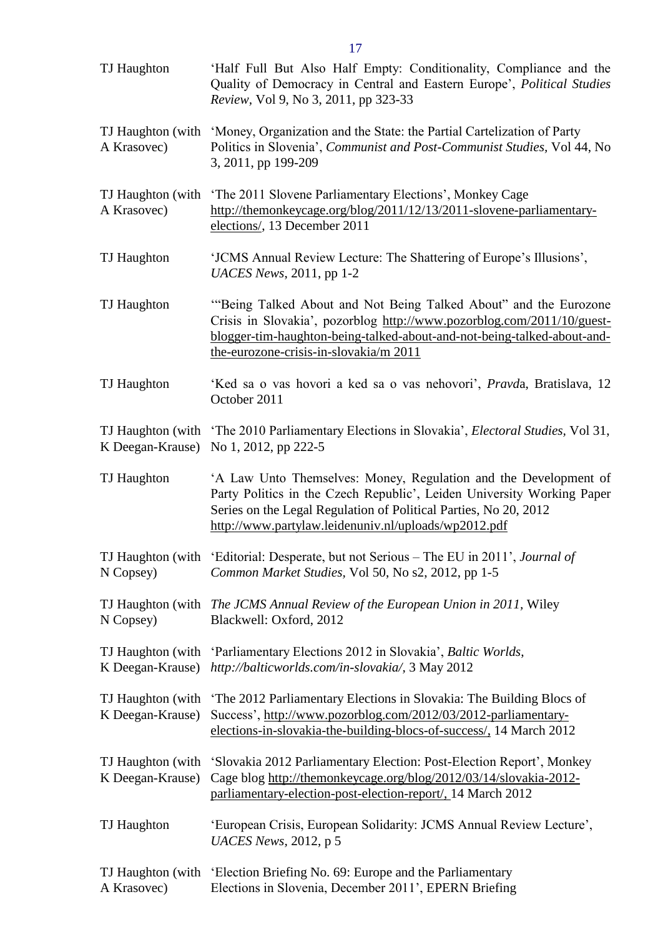| TJ Haughton                           | 'Half Full But Also Half Empty: Conditionality, Compliance and the<br>Quality of Democracy in Central and Eastern Europe', Political Studies<br>Review, Vol 9, No 3, 2011, pp 323-33                                                                                   |
|---------------------------------------|------------------------------------------------------------------------------------------------------------------------------------------------------------------------------------------------------------------------------------------------------------------------|
| TJ Haughton (with<br>A Krasovec)      | 'Money, Organization and the State: the Partial Cartelization of Party<br>Politics in Slovenia', Communist and Post-Communist Studies, Vol 44, No<br>3, 2011, pp 199-209                                                                                               |
| TJ Haughton (with<br>A Krasovec)      | 'The 2011 Slovene Parliamentary Elections', Monkey Cage<br>http://themonkeycage.org/blog/2011/12/13/2011-slovene-parliamentary-<br>elections/, 13 December 2011                                                                                                        |
| TJ Haughton                           | 'JCMS Annual Review Lecture: The Shattering of Europe's Illusions',<br>UACES News, $2011$ , pp 1-2                                                                                                                                                                     |
| TJ Haughton                           | "Being Talked About and Not Being Talked About" and the Eurozone<br>Crisis in Slovakia', pozorblog http://www.pozorblog.com/2011/10/guest-<br>blogger-tim-haughton-being-talked-about-and-not-being-talked-about-and-<br>the-eurozone-crisis-in-slovakia/m 2011        |
| TJ Haughton                           | 'Ked sa o vas hovori a ked sa o vas nehovori', Pravda, Bratislava, 12<br>October 2011                                                                                                                                                                                  |
| TJ Haughton (with<br>K Deegan-Krause) | 'The 2010 Parliamentary Elections in Slovakia', <i>Electoral Studies</i> , Vol 31,<br>No 1, 2012, pp 222-5                                                                                                                                                             |
| TJ Haughton                           | 'A Law Unto Themselves: Money, Regulation and the Development of<br>Party Politics in the Czech Republic', Leiden University Working Paper<br>Series on the Legal Regulation of Political Parties, No 20, 2012<br>http://www.partylaw.leidenuniv.nl/uploads/wp2012.pdf |
| N Copsey)                             | TJ Haughton (with 'Editorial: Desperate, but not Serious - The EU in 2011', Journal of<br>Common Market Studies, Vol 50, No s2, 2012, pp 1-5                                                                                                                           |
| N Copsey)                             | TJ Haughton (with The JCMS Annual Review of the European Union in 2011, Wiley<br>Blackwell: Oxford, 2012                                                                                                                                                               |
| TJ Haughton (with<br>K Deegan-Krause) | 'Parliamentary Elections 2012 in Slovakia', Baltic Worlds,<br>http://balticworlds.com/in-slovakia/, 3 May 2012                                                                                                                                                         |
| TJ Haughton (with<br>K Deegan-Krause) | 'The 2012 Parliamentary Elections in Slovakia: The Building Blocs of<br>Success', http://www.pozorblog.com/2012/03/2012-parliamentary-<br>elections-in-slovakia-the-building-blocs-of-success/, 14 March 2012                                                          |
| TJ Haughton (with<br>K Deegan-Krause) | 'Slovakia 2012 Parliamentary Election: Post-Election Report', Monkey<br>Cage blog http://themonkeycage.org/blog/2012/03/14/slovakia-2012-<br>parliamentary-election-post-election-report/, 14 March 2012                                                               |
| TJ Haughton                           | 'European Crisis, European Solidarity: JCMS Annual Review Lecture',<br><i>UACES News</i> , 2012, p 5                                                                                                                                                                   |
| TJ Haughton (with<br>A Krasovec)      | 'Election Briefing No. 69: Europe and the Parliamentary<br>Elections in Slovenia, December 2011', EPERN Briefing                                                                                                                                                       |

17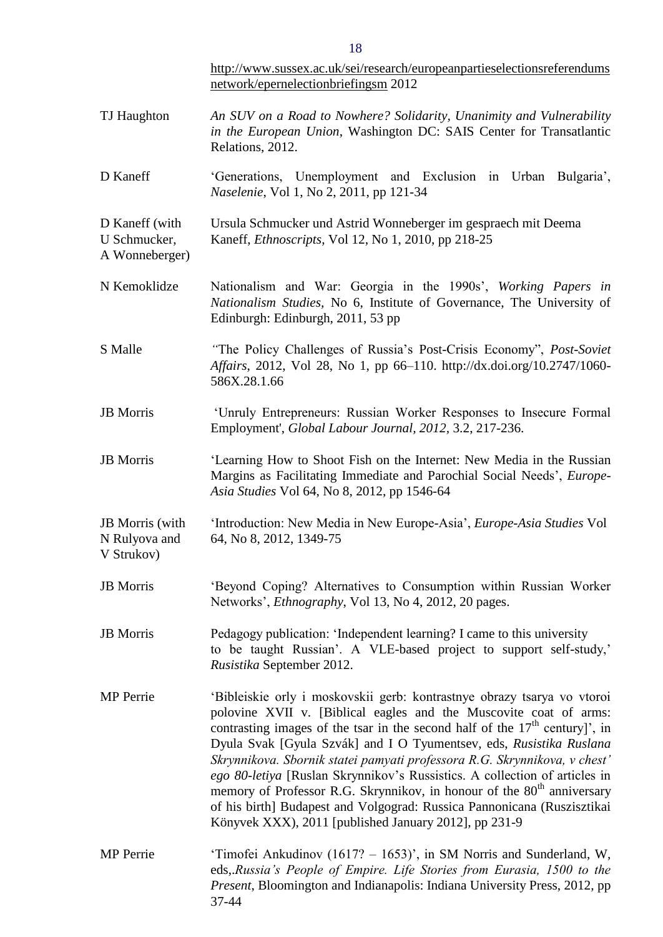|                                                  | http://www.sussex.ac.uk/sei/research/europeanpartieselectionsreferendums<br>network/epernelectionbriefingsm 2012                                                                                                                                                                                                                                                                                                                                                                                                                                                                                                                                                                          |
|--------------------------------------------------|-------------------------------------------------------------------------------------------------------------------------------------------------------------------------------------------------------------------------------------------------------------------------------------------------------------------------------------------------------------------------------------------------------------------------------------------------------------------------------------------------------------------------------------------------------------------------------------------------------------------------------------------------------------------------------------------|
| TJ Haughton                                      | An SUV on a Road to Nowhere? Solidarity, Unanimity and Vulnerability<br>in the European Union, Washington DC: SAIS Center for Transatlantic<br>Relations, 2012.                                                                                                                                                                                                                                                                                                                                                                                                                                                                                                                           |
| D Kaneff                                         | 'Generations, Unemployment and Exclusion in Urban Bulgaria',<br>Naselenie, Vol 1, No 2, 2011, pp 121-34                                                                                                                                                                                                                                                                                                                                                                                                                                                                                                                                                                                   |
| D Kaneff (with<br>U Schmucker,<br>A Wonneberger) | Ursula Schmucker und Astrid Wonneberger im gespraech mit Deema<br>Kaneff, <i>Ethnoscripts</i> , Vol 12, No 1, 2010, pp 218-25                                                                                                                                                                                                                                                                                                                                                                                                                                                                                                                                                             |
| N Kemoklidze                                     | Nationalism and War: Georgia in the 1990s', Working Papers in<br>Nationalism Studies, No 6, Institute of Governance, The University of<br>Edinburgh: Edinburgh, 2011, 53 pp                                                                                                                                                                                                                                                                                                                                                                                                                                                                                                               |
| S Malle                                          | "The Policy Challenges of Russia's Post-Crisis Economy", Post-Soviet<br>Affairs, 2012, Vol 28, No 1, pp 66–110. http://dx.doi.org/10.2747/1060-<br>586X.28.1.66                                                                                                                                                                                                                                                                                                                                                                                                                                                                                                                           |
| <b>JB</b> Morris                                 | 'Unruly Entrepreneurs: Russian Worker Responses to Insecure Formal<br>Employment', Global Labour Journal, 2012, 3.2, 217-236.                                                                                                                                                                                                                                                                                                                                                                                                                                                                                                                                                             |
| <b>JB</b> Morris                                 | 'Learning How to Shoot Fish on the Internet: New Media in the Russian<br>Margins as Facilitating Immediate and Parochial Social Needs', Europe-<br>Asia Studies Vol 64, No 8, 2012, pp 1546-64                                                                                                                                                                                                                                                                                                                                                                                                                                                                                            |
| JB Morris (with<br>N Rulyova and<br>V Strukov)   | 'Introduction: New Media in New Europe-Asia', <i>Europe-Asia Studies</i> Vol<br>64, No 8, 2012, 1349-75                                                                                                                                                                                                                                                                                                                                                                                                                                                                                                                                                                                   |
| <b>JB</b> Morris                                 | 'Beyond Coping? Alternatives to Consumption within Russian Worker<br>Networks', <i>Ethnography</i> , Vol 13, No 4, 2012, 20 pages.                                                                                                                                                                                                                                                                                                                                                                                                                                                                                                                                                        |
| <b>JB</b> Morris                                 | Pedagogy publication: 'Independent learning? I came to this university<br>to be taught Russian'. A VLE-based project to support self-study,'<br>Rusistika September 2012.                                                                                                                                                                                                                                                                                                                                                                                                                                                                                                                 |
| <b>MP</b> Perrie                                 | 'Bibleiskie orly i moskovskii gerb: kontrastnye obrazy tsarya vo vtoroi<br>polovine XVII v. [Biblical eagles and the Muscovite coat of arms:<br>contrasting images of the tsar in the second half of the $17th$ century]', in<br>Dyula Svak [Gyula Szvák] and I O Tyumentsev, eds, Rusistika Ruslana<br>Skrynnikova. Sbornik statei pamyati professora R.G. Skrynnikova, v chest'<br>ego 80-letiya [Ruslan Skrynnikov's Russistics. A collection of articles in<br>memory of Professor R.G. Skrynnikov, in honour of the 80 <sup>th</sup> anniversary<br>of his birth] Budapest and Volgograd: Russica Pannonicana (Ruszisztikai<br>Könyvek XXX), 2011 [published January 2012], pp 231-9 |
| <b>MP</b> Perrie                                 | 'Timofei Ankudinov (1617? – 1653)', in SM Norris and Sunderland, W,<br>eds, Russia's People of Empire. Life Stories from Eurasia, 1500 to the<br>Present, Bloomington and Indianapolis: Indiana University Press, 2012, pp<br>37-44                                                                                                                                                                                                                                                                                                                                                                                                                                                       |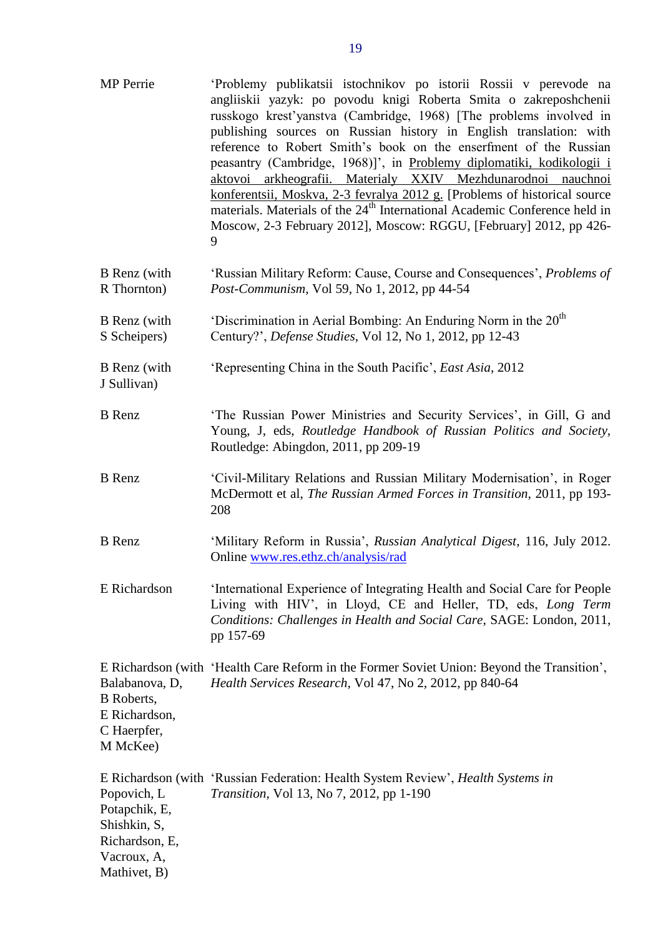| <b>MP</b> Perrie                                                                | 'Problemy publikatsii istochnikov po istorii Rossii v perevode na<br>angliiskii yazyk: po povodu knigi Roberta Smita o zakreposhchenii<br>russkogo kresť yanstva (Cambridge, 1968) [The problems involved in<br>publishing sources on Russian history in English translation: with<br>reference to Robert Smith's book on the enserfment of the Russian<br>peasantry (Cambridge, 1968)]', in Problemy diplomatiki, kodikologii i<br>aktovoi arkheografii. Materialy XXIV Mezhdunarodnoi nauchnoi<br>konferentsii, Moskva, 2-3 fevralya 2012 g. [Problems of historical source<br>materials. Materials of the 24 <sup>th</sup> International Academic Conference held in<br>Moscow, 2-3 February 2012], Moscow: RGGU, [February] 2012, pp 426-<br>9 |
|---------------------------------------------------------------------------------|----------------------------------------------------------------------------------------------------------------------------------------------------------------------------------------------------------------------------------------------------------------------------------------------------------------------------------------------------------------------------------------------------------------------------------------------------------------------------------------------------------------------------------------------------------------------------------------------------------------------------------------------------------------------------------------------------------------------------------------------------|
| B Renz (with<br>R Thornton)                                                     | 'Russian Military Reform: Cause, Course and Consequences', Problems of<br>Post-Communism, Vol 59, No 1, 2012, pp 44-54                                                                                                                                                                                                                                                                                                                                                                                                                                                                                                                                                                                                                             |
| B Renz (with<br>S Scheipers)                                                    | 'Discrimination in Aerial Bombing: An Enduring Norm in the 20 <sup>th</sup><br>Century?', Defense Studies, Vol 12, No 1, 2012, pp 12-43                                                                                                                                                                                                                                                                                                                                                                                                                                                                                                                                                                                                            |
| B Renz (with<br>J Sullivan)                                                     | 'Representing China in the South Pacific', East Asia, 2012                                                                                                                                                                                                                                                                                                                                                                                                                                                                                                                                                                                                                                                                                         |
| <b>B</b> Renz                                                                   | 'The Russian Power Ministries and Security Services', in Gill, G and<br>Young, J, eds, Routledge Handbook of Russian Politics and Society,<br>Routledge: Abingdon, 2011, pp 209-19                                                                                                                                                                                                                                                                                                                                                                                                                                                                                                                                                                 |
| <b>B</b> Renz                                                                   | 'Civil-Military Relations and Russian Military Modernisation', in Roger<br>McDermott et al, The Russian Armed Forces in Transition, 2011, pp 193-<br>208                                                                                                                                                                                                                                                                                                                                                                                                                                                                                                                                                                                           |
| <b>B</b> Renz                                                                   | 'Military Reform in Russia', Russian Analytical Digest, 116, July 2012.<br>Online www.res.ethz.ch/analysis/rad                                                                                                                                                                                                                                                                                                                                                                                                                                                                                                                                                                                                                                     |
| E Richardson                                                                    | 'International Experience of Integrating Health and Social Care for People<br>Living with HIV', in Lloyd, CE and Heller, TD, eds, Long Term<br>Conditions: Challenges in Health and Social Care, SAGE: London, 2011,<br>pp 157-69                                                                                                                                                                                                                                                                                                                                                                                                                                                                                                                  |
| Balabanova, D,<br><b>B</b> Roberts,<br>E Richardson,<br>C Haerpfer,<br>M McKee) | E Richardson (with 'Health Care Reform in the Former Soviet Union: Beyond the Transition',<br>Health Services Research, Vol 47, No 2, 2012, pp 840-64                                                                                                                                                                                                                                                                                                                                                                                                                                                                                                                                                                                              |
| Popovich, L<br>Potapchik, E,<br>Shishkin, S,<br>Richardson, E,<br>Vacroux, A,   | E Richardson (with 'Russian Federation: Health System Review', Health Systems in<br>Transition, Vol 13, No 7, 2012, pp 1-190                                                                                                                                                                                                                                                                                                                                                                                                                                                                                                                                                                                                                       |

Mathivet, B)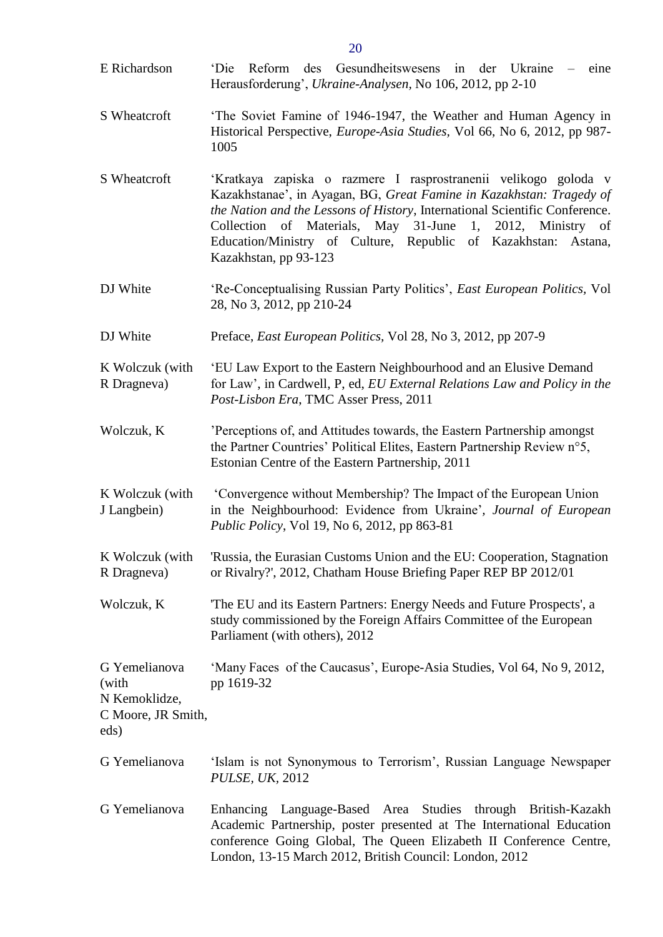| E Richardson                                                          | Reform des Gesundheitswesens in der Ukraine<br>'Die<br>$-$ eine<br>Herausforderung', Ukraine-Analysen, No 106, 2012, pp 2-10                                                                                                                                                                                                                                                         |
|-----------------------------------------------------------------------|--------------------------------------------------------------------------------------------------------------------------------------------------------------------------------------------------------------------------------------------------------------------------------------------------------------------------------------------------------------------------------------|
| S Wheatcroft                                                          | 'The Soviet Famine of 1946-1947, the Weather and Human Agency in<br>Historical Perspective, <i>Europe-Asia Studies</i> , Vol 66, No 6, 2012, pp 987-<br>1005                                                                                                                                                                                                                         |
| S Wheatcroft                                                          | 'Kratkaya zapiska o razmere I rasprostranenii velikogo goloda v<br>Kazakhstanae', in Ayagan, BG, Great Famine in Kazakhstan: Tragedy of<br>the Nation and the Lessons of History, International Scientific Conference.<br>of Materials, May 31-June<br>1, 2012, Ministry of<br>Collection<br>Education/Ministry of Culture, Republic of Kazakhstan: Astana,<br>Kazakhstan, pp 93-123 |
| DJ White                                                              | 'Re-Conceptualising Russian Party Politics', East European Politics, Vol<br>28, No 3, 2012, pp 210-24                                                                                                                                                                                                                                                                                |
| DJ White                                                              | Preface, East European Politics, Vol 28, No 3, 2012, pp 207-9                                                                                                                                                                                                                                                                                                                        |
| K Wolczuk (with<br>R Dragneva)                                        | 'EU Law Export to the Eastern Neighbourhood and an Elusive Demand<br>for Law', in Cardwell, P, ed, EU External Relations Law and Policy in the<br>Post-Lisbon Era, TMC Asser Press, 2011                                                                                                                                                                                             |
| Wolczuk, K                                                            | 'Perceptions of, and Attitudes towards, the Eastern Partnership amongst<br>the Partner Countries' Political Elites, Eastern Partnership Review n°5,<br>Estonian Centre of the Eastern Partnership, 2011                                                                                                                                                                              |
| K Wolczuk (with<br>J Langbein)                                        | 'Convergence without Membership? The Impact of the European Union<br>in the Neighbourhood: Evidence from Ukraine', Journal of European<br><i>Public Policy</i> , Vol 19, No 6, 2012, pp 863-81                                                                                                                                                                                       |
| K Wolczuk (with<br>R Dragneva)                                        | 'Russia, the Eurasian Customs Union and the EU: Cooperation, Stagnation<br>or Rivalry?', 2012, Chatham House Briefing Paper REP BP 2012/01                                                                                                                                                                                                                                           |
| Wolczuk, K                                                            | The EU and its Eastern Partners: Energy Needs and Future Prospects', a<br>study commissioned by the Foreign Affairs Committee of the European<br>Parliament (with others), 2012                                                                                                                                                                                                      |
| G Yemelianova<br>(with<br>N Kemoklidze,<br>C Moore, JR Smith,<br>eds) | 'Many Faces of the Caucasus', Europe-Asia Studies, Vol 64, No 9, 2012,<br>pp 1619-32                                                                                                                                                                                                                                                                                                 |
| G Yemelianova                                                         | 'Islam is not Synonymous to Terrorism', Russian Language Newspaper<br><b>PULSE, UK, 2012</b>                                                                                                                                                                                                                                                                                         |
| G Yemelianova                                                         | Enhancing Language-Based Area Studies through British-Kazakh<br>Academic Partnership, poster presented at The International Education<br>conference Going Global, The Queen Elizabeth II Conference Centre,<br>London, 13-15 March 2012, British Council: London, 2012                                                                                                               |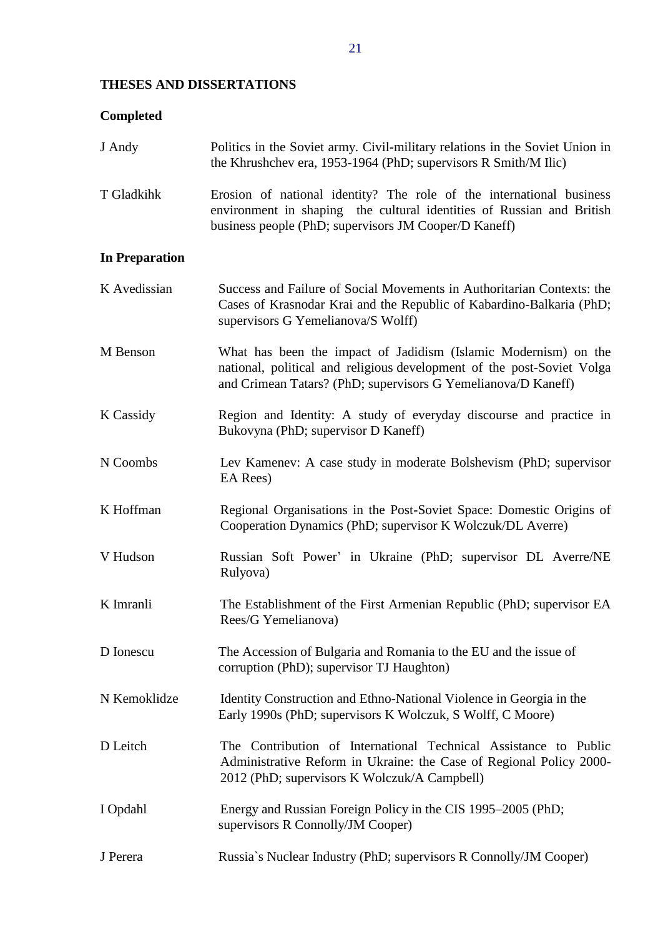# <span id="page-20-0"></span>**THESES AND DISSERTATIONS**

# <span id="page-20-1"></span>**Completed**

<span id="page-20-2"></span>

| J Andy                | Politics in the Soviet army. Civil-military relations in the Soviet Union in<br>the Khrushchev era, 1953-1964 (PhD; supervisors R Smith/M Ilic)                                                            |
|-----------------------|------------------------------------------------------------------------------------------------------------------------------------------------------------------------------------------------------------|
| T Gladkihk            | Erosion of national identity? The role of the international business<br>environment in shaping the cultural identities of Russian and British<br>business people (PhD; supervisors JM Cooper/D Kaneff)     |
| <b>In Preparation</b> |                                                                                                                                                                                                            |
| K Avedissian          | Success and Failure of Social Movements in Authoritarian Contexts: the<br>Cases of Krasnodar Krai and the Republic of Kabardino-Balkaria (PhD;<br>supervisors G Yemelianova/S Wolff)                       |
| M Benson              | What has been the impact of Jadidism (Islamic Modernism) on the<br>national, political and religious development of the post-Soviet Volga<br>and Crimean Tatars? (PhD; supervisors G Yemelianova/D Kaneff) |
| K Cassidy             | Region and Identity: A study of everyday discourse and practice in<br>Bukovyna (PhD; supervisor D Kaneff)                                                                                                  |
| N Coombs              | Lev Kamenev: A case study in moderate Bolshevism (PhD; supervisor<br>EA Rees)                                                                                                                              |
| K Hoffman             | Regional Organisations in the Post-Soviet Space: Domestic Origins of<br>Cooperation Dynamics (PhD; supervisor K Wolczuk/DL Averre)                                                                         |
| V Hudson              | Russian Soft Power' in Ukraine (PhD; supervisor DL Averre/NE<br>Rulyova)                                                                                                                                   |
| K Imranli             | The Establishment of the First Armenian Republic (PhD; supervisor EA<br>Rees/G Yemelianova)                                                                                                                |
| D Ionescu             | The Accession of Bulgaria and Romania to the EU and the issue of<br>corruption (PhD); supervisor TJ Haughton)                                                                                              |
| N Kemoklidze          | Identity Construction and Ethno-National Violence in Georgia in the<br>Early 1990s (PhD; supervisors K Wolczuk, S Wolff, C Moore)                                                                          |
| D Leitch              | The Contribution of International Technical Assistance to Public<br>Administrative Reform in Ukraine: the Case of Regional Policy 2000-<br>2012 (PhD; supervisors K Wolczuk/A Campbell)                    |
| I Opdahl              | Energy and Russian Foreign Policy in the CIS 1995–2005 (PhD;<br>supervisors R Connolly/JM Cooper)                                                                                                          |
| J Perera              | Russia's Nuclear Industry (PhD; supervisors R Connolly/JM Cooper)                                                                                                                                          |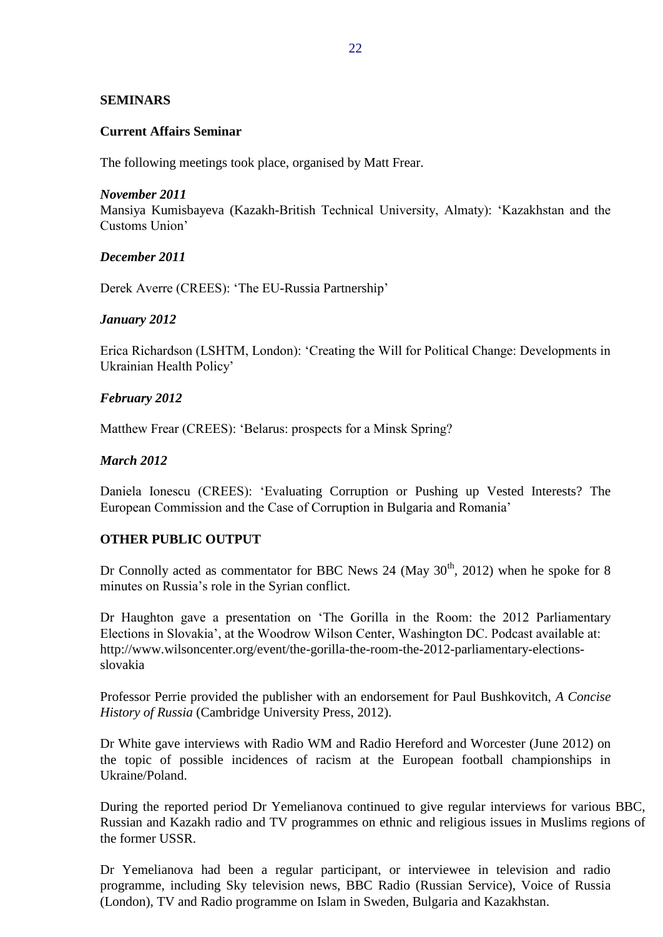# <span id="page-21-0"></span>**SEMINARS**

## <span id="page-21-1"></span>**Current Affairs Seminar**

The following meetings took place, organised by Matt Frear.

## *November 2011*

Mansiya Kumisbayeva (Kazakh-British Technical University, Almaty): 'Kazakhstan and the Customs Union'

# *December 2011*

Derek Averre (CREES): 'The EU-Russia Partnership'

# *January 2012*

Erica Richardson (LSHTM, London): 'Creating the Will for Political Change: Developments in Ukrainian Health Policy'

# *February 2012*

Matthew Frear (CREES): 'Belarus: prospects for a Minsk Spring?

# *March 2012*

Daniela Ionescu (CREES): 'Evaluating Corruption or Pushing up Vested Interests? The European Commission and the Case of Corruption in Bulgaria and Romania'

# <span id="page-21-2"></span>**OTHER PUBLIC OUTPUT**

Dr Connolly acted as commentator for BBC News 24 (May  $30<sup>th</sup>$ , 2012) when he spoke for 8 minutes on Russia's role in the Syrian conflict.

Dr Haughton gave a presentation on 'The Gorilla in the Room: the 2012 Parliamentary Elections in Slovakia', at the Woodrow Wilson Center, Washington DC. Podcast available at: http://www.wilsoncenter.org/event/the-gorilla-the-room-the-2012-parliamentary-electionsslovakia

Professor Perrie provided the publisher with an endorsement for Paul Bushkovitch, *A Concise History of Russia* (Cambridge University Press, 2012).

Dr White gave interviews with Radio WM and Radio Hereford and Worcester (June 2012) on the topic of possible incidences of racism at the European football championships in Ukraine/Poland.

During the reported period Dr Yemelianova continued to give regular interviews for various BBC, Russian and Kazakh radio and TV programmes on ethnic and religious issues in Muslims regions of the former USSR.

Dr Yemelianova had been a regular participant, or interviewee in television and radio programme, including Sky television news, BBC Radio (Russian Service), Voice of Russia (London), TV and Radio programme on Islam in Sweden, Bulgaria and Kazakhstan.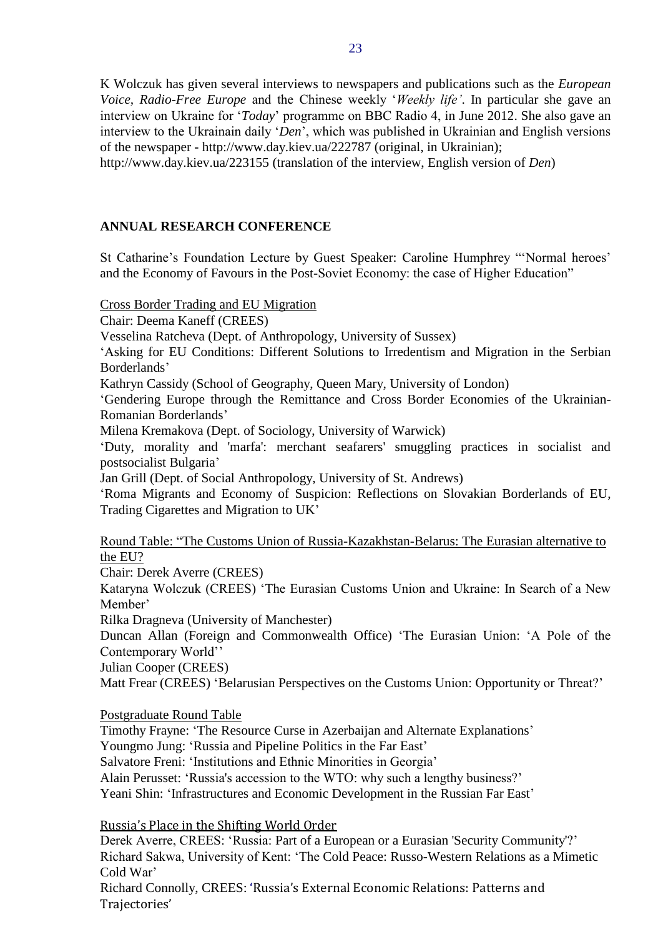K Wolczuk has given several interviews to newspapers and publications such as the *European Voice, Radio-Free Europe* and the Chinese weekly '*Weekly life'*. In particular she gave an interview on Ukraine for '*Today*' programme on BBC Radio 4, in June 2012. She also gave an interview to the Ukrainain daily '*Den*', which was published in Ukrainian and English versions of the newspaper - <http://www.day.kiev.ua/222787> (original, in Ukrainian); <http://www.day.kiev.ua/223155> (translation of the interview, English version of *Den*)

# <span id="page-22-0"></span>**ANNUAL RESEARCH CONFERENCE**

St Catharine's Foundation Lecture by Guest Speaker: Caroline Humphrey "'Normal heroes' and the Economy of Favours in the Post-Soviet Economy: the case of Higher Education"

Cross Border Trading and EU Migration

Chair: Deema Kaneff (CREES)

Vesselina Ratcheva (Dept. of Anthropology, University of Sussex)

'Asking for EU Conditions: Different Solutions to Irredentism and Migration in the Serbian Borderlands'

Kathryn Cassidy (School of Geography, Queen Mary, University of London)

'Gendering Europe through the Remittance and Cross Border Economies of the Ukrainian-Romanian Borderlands'

Milena Kremakova (Dept. of Sociology, University of Warwick)

'Duty, morality and 'marfa': merchant seafarers' smuggling practices in socialist and postsocialist Bulgaria'

Jan Grill (Dept. of Social Anthropology, University of St. Andrews)

'Roma Migrants and Economy of Suspicion: Reflections on Slovakian Borderlands of EU, Trading Cigarettes and Migration to UK'

Round Table: "The Customs Union of Russia-Kazakhstan-Belarus: The Eurasian alternative to the EU?

Chair: Derek Averre (CREES)

Kataryna Wolczuk (CREES) 'The Eurasian Customs Union and Ukraine: In Search of a New Member'

Rilka Dragneva (University of Manchester)

Duncan Allan (Foreign and Commonwealth Office) 'The Eurasian Union: 'A Pole of the Contemporary World''

Julian Cooper (CREES)

Matt Frear (CREES) 'Belarusian Perspectives on the Customs Union: Opportunity or Threat?'

Postgraduate Round Table

Timothy Frayne: 'The Resource Curse in Azerbaijan and Alternate Explanations'

Youngmo Jung: 'Russia and Pipeline Politics in the Far East'

Salvatore Freni: 'Institutions and Ethnic Minorities in Georgia'

Alain Perusset: 'Russia's accession to the WTO: why such a lengthy business?'

Yeani Shin: 'Infrastructures and Economic Development in the Russian Far East'

Russia's Place in the Shifting World Order

Derek Averre, CREES: 'Russia: Part of a European or a Eurasian 'Security Community'?' Richard Sakwa, University of Kent: 'The Cold Peace: Russo-Western Relations as a Mimetic Cold War'

Richard Connolly, CREES: 'Russia's External Economic Relations: Patterns and Trajectories'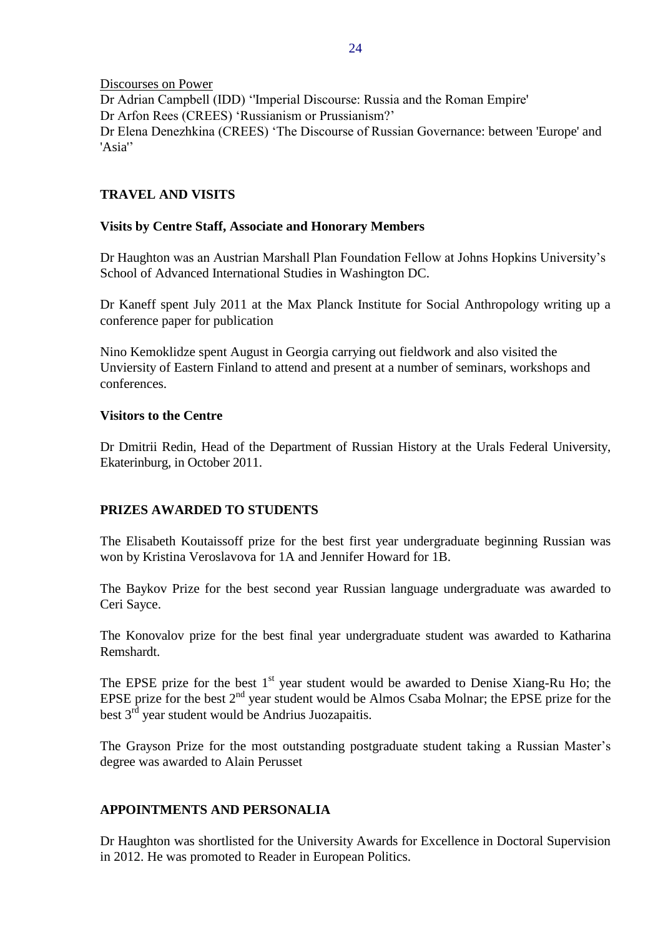Discourses on Power Dr Adrian Campbell (IDD) ''Imperial Discourse: Russia and the Roman Empire' Dr Arfon Rees (CREES) 'Russianism or Prussianism?' Dr Elena Denezhkina (CREES) 'The Discourse of Russian Governance: between 'Europe' and 'Asia''

## <span id="page-23-0"></span>**TRAVEL AND VISITS**

## <span id="page-23-1"></span>**Visits by Centre Staff, Associate and Honorary Members**

Dr Haughton was an Austrian Marshall Plan Foundation Fellow at Johns Hopkins University's School of Advanced International Studies in Washington DC.

Dr Kaneff spent July 2011 at the Max Planck Institute for Social Anthropology writing up a conference paper for publication

Nino Kemoklidze spent August in Georgia carrying out fieldwork and also visited the Unviersity of Eastern Finland to attend and present at a number of seminars, workshops and conferences.

#### **Visitors to the Centre**

Dr Dmitrii Redin, Head of the Department of Russian History at the Urals Federal University, Ekaterinburg, in October 2011.

## <span id="page-23-2"></span>**PRIZES AWARDED TO STUDENTS**

The Elisabeth Koutaissoff prize for the best first year undergraduate beginning Russian was won by Kristina Veroslavova for 1A and Jennifer Howard for 1B.

The Baykov Prize for the best second year Russian language undergraduate was awarded to Ceri Sayce.

The Konovalov prize for the best final year undergraduate student was awarded to Katharina Remshardt.

The EPSE prize for the best  $1<sup>st</sup>$  year student would be awarded to Denise Xiang-Ru Ho; the EPSE prize for the best  $2<sup>nd</sup>$  year student would be Almos Csaba Molnar; the EPSE prize for the best  $3<sup>rd</sup>$  year student would be Andrius Juozapaitis.

The Grayson Prize for the most outstanding postgraduate student taking a Russian Master's degree was awarded to Alain Perusset

## <span id="page-23-3"></span>**APPOINTMENTS AND PERSONALIA**

Dr Haughton was shortlisted for the University Awards for Excellence in Doctoral Supervision in 2012. He was promoted to Reader in European Politics.